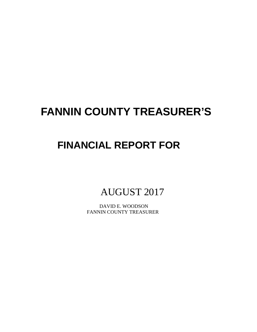# **FANNIN COUNTY TREASURER'S**

## **FINANCIAL REPORT FOR**

AUGUST 2017

 DAVID E. WOODSON FANNIN COUNTY TREASURER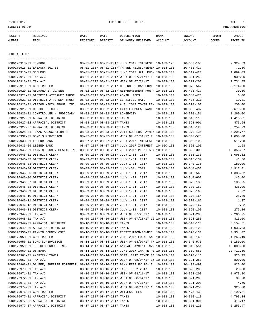## 09/05/2017 FUND DEPOSIT LISTING PAGE 1

| RECEIPT | RECEIVED | DATE     | DATE    | DESCRIPTION       | <b>BANK</b> | INCOME  | <b>REPORT</b> | AMOUNT          |
|---------|----------|----------|---------|-------------------|-------------|---------|---------------|-----------------|
| NUMBER  | FROM     | RECEIVED | DEPOSIT | OF MONEY RECEIVED | ACCOUNT     | ACCOUNT | CODES         | <b>RECEIVED</b> |
|         |          |          |         |                   |             |         |               |                 |

GENERAL FUND

|                           | =====================================                                                        |                                 |                                                      |                  |                  |            |
|---------------------------|----------------------------------------------------------------------------------------------|---------------------------------|------------------------------------------------------|------------------|------------------|------------|
| 0000170913-01 TEXPOOL     |                                                                                              |                                 | 08-01-2017 08-01-2017 JULY 2017 INTEREST 10-103-175  |                  | $10 - 360 - 100$ | 2,924.69   |
|                           | 0000170915-01 EMBASSY SUITES                                                                 |                                 | 08-01-2017 08-01-2017 TRAVEL REIMBURSEMEN 10-103-100 |                  | $10 - 435 - 427$ | 71.30      |
| 0000170916-01 SECURUS     |                                                                                              |                                 | 08-01-2017 08-01-2017 JUNE 2017 JAIL PHON 10-103-100 |                  | $10 - 319 - 420$ | 1,899.03   |
| 0000170917-01 TAX A/C     |                                                                                              |                                 | 08-01-2017 08-01-2017 WEEK OF 07/21/17 18 10-103-100 |                  | $10 - 321 - 250$ | 930.00     |
| 0000170918-01 TAX A/C     |                                                                                              |                                 | 08-01-2017 08-01-2017 WEEK OF 07/21/17               | $10 - 103 - 100$ | $10 - 321 - 200$ | 1,731.85   |
| 0000170919-01 COMPTROLLER |                                                                                              |                                 | 08-01-2017 08-01-2017 OFFENDER TRANSPORT 10-103-100  |                  | $10 - 370 - 562$ | 3,174.00   |
|                           | 0000170920-01 RICHARD E. GLASER                                                              |                                 | 08-02-2017 08-02-2017 REIMBURSEMENT FOR P 10-103-100 |                  | $10 - 475 - 427$ | 30.60      |
|                           | 0000170921-01 DISTRICT ATTORNEY TRUST                                                        |                                 | 08-02-2017 08-02-2017 ADMIN. FEES                    | $10 - 103 - 100$ | $10 - 340 - 475$ | 6.00       |
|                           | 0000170921-02 DISTRICT ATTORNEY TRUST                                                        |                                 | 08-02-2017 08-02-2017 CERTIFIED MAIL                 | $10 - 103 - 100$ | $10 - 475 - 311$ | 19.81      |
|                           | 0000170923-01 VISION MEDIA GROUP, INC.                                                       |                                 | 08-02-2017 08-02-2017 AUG. 2017 TOWER REN 10-103-100 |                  | $10 - 370 - 100$ | 200.00     |
|                           | 0000170925-01 OFFICE OF COURT                                                                |                                 | 08-02-2017 08-02-2017 FY17 FORMULA GRANT 10-103-100  |                  | $10 - 330 - 437$ | 8,679.00   |
|                           | 0000170926-01 COMPTROLLER - JUDICIARY                                                        | 08-02-2017 08-02-2017 LONGEVITY |                                                      | $10 - 103 - 100$ | $10 - 370 - 151$ | 1,260.00   |
|                           | 0000170927-01 APPRAISAL DISTRICT                                                             | 08-03-2017 08-03-2017 TAXES     |                                                      | $10 - 103 - 100$ | 10-310-110       | 34, 416.81 |
|                           | 0000170927-02 APPRAISAL DISTRICT                                                             | 08-03-2017 08-03-2017 TAXES     |                                                      | $10 - 103 - 100$ | $10 - 321 - 901$ | 476.54     |
|                           | 0000170927-07 APPRAISAL DISTRICT                                                             | 08-03-2017 08-03-2017 TAXES     |                                                      | $10 - 103 - 100$ | $10 - 310 - 120$ | 5,259.29   |
|                           | 0000170928-01 TEXAS ASSOCIATION OF                                                           |                                 | 08-03-2017 08-03-2017 2015 SURPLUS PAYMEN 10-103-100 |                  | $10 - 370 - 135$ | 4,208.77   |
|                           | 0000170932-01 BOND SUPERVISION                                                               |                                 | 08-07-2017 08-07-2017 WEEK OF 07/31/17 TH 10-103-100 |                  | $10 - 340 - 573$ | 1,000.00   |
| 0000170933-01 LEGEND BANK |                                                                                              |                                 | 08-07-2017 08-07-2017 JULY 2017 INTEREST 10-103-100  |                  | $10 - 360 - 100$ | 611.08     |
| 0000170933-29 LEGEND BANK |                                                                                              |                                 | 08-07-2017 08-07-2017 JULY 2017 INTEREST 10-100-100  |                  | $10 - 360 - 100$ | 1.58       |
|                           | 0000170945-01 FANNIN COUNTY HEALTH INSP 08-08-2017 08-08-2017 JULY 2017 PERMITS & 10-103-100 |                                 |                                                      |                  | $10 - 320 - 300$ | 10,356.27  |
|                           | 0000170946-01 DISTRICT CLERK                                                                 |                                 | 08-09-2017 08-09-2017 JULY 1-31, 2017                | $10 - 103 - 100$ | $10 - 318 - 130$ | 5,098.32   |
|                           | 0000170946-02 DISTRICT CLERK                                                                 |                                 | 08-09-2017 08-09-2017 JULY 1-31, 2017                | $10 - 103 - 100$ | $10 - 318 - 132$ | 41.56      |
|                           | 0000170946-03 DISTRICT CLERK                                                                 |                                 | 08-09-2017 08-09-2017 JULY 1-31, 2017                | $10 - 103 - 100$ | $10 - 340 - 135$ | 180.00     |
|                           | 0000170946-04 DISTRICT CLERK                                                                 |                                 | 08-09-2017 08-09-2017 JULY1-31, 2017                 | $10 - 103 - 100$ | $10 - 340 - 450$ | 4,917.41   |
|                           | 0000170946-05 DISTRICT CLERK                                                                 |                                 | 08-09-2017 08-09-2017 JULY 1-31, 2017                | $10 - 103 - 100$ | $10 - 340 - 560$ | 1,383.32   |
|                           | 0000170946-06 DISTRICT CLERK                                                                 |                                 | 08-09-2017 08-09-2017 JULY 1-31, 2017                | $10 - 103 - 100$ | $10 - 340 - 600$ | 145.00     |
|                           | 0000170946-07 DISTRICT CLERK                                                                 |                                 | 08-09-2017 08-09-2017 JULY 1-31, 2017                | $10 - 103 - 100$ | $10 - 370 - 130$ | 106.25     |
|                           | 0000170946-08 DISTRICT CLERK                                                                 |                                 | 08-09-2017 08-09-2017 JULY 1-31, 2017                | 10-103-100       | $10 - 370 - 162$ | 435.00     |
|                           | 0000170946-09 DISTRICT CLERK                                                                 |                                 | 08-09-2017 08-09-2017 JULY 1-31, 2017                | $10 - 103 - 100$ | $10 - 370 - 163$ | 7.22       |
|                           | 0000170946-10 DISTRICT CLERK                                                                 |                                 | 08-09-2017 08-09-2017 JULY 1-31, 2017                | $10 - 103 - 100$ | $10 - 370 - 164$ | 28.86      |
|                           | 0000170946-11 DISTRICT CLERK                                                                 |                                 | 08-09-2017 08-09-2017 JULY 1-31, 2017                | 10-103-100       | $10 - 370 - 166$ | 1.37       |
|                           | 0000170946-12 DISTRICT CLERK                                                                 |                                 | 08-09-2017 08-09-2017 JULY 1-31, 2017                | $10 - 103 - 100$ | $10 - 370 - 167$ | 9.22       |
|                           | 0000170946-13 DISTRICT CLERK                                                                 |                                 | 08-09-2017 08-09-2017 JULY 1-31, 2017                | 10-103-100       | $10 - 360 - 100$ | 276.16     |
| 0000170947-01 TAX A/C     |                                                                                              |                                 | 08-09-2017 08-09-2017 WEEK OF 07/28/17               | $10 - 103 - 100$ | $10 - 321 - 200$ | 2,266.75   |
| 0000170948-01 TAX A/C     |                                                                                              |                                 | 08-09-2017 08-09-2017 WEEK OF 07/28/17 16 10-103-100 |                  | 10-321-250       | 815.00     |
|                           | 0000170949-01 APPRAISAL DISTRICT                                                             | 08-10-2017 08-10-2017 TAXES     |                                                      | $10 - 103 - 100$ | $10 - 310 - 110$ | 6,154.51   |
|                           | 0000170949-06 APPRAISAL DISTRICT                                                             | 08-10-2017 08-10-2017 TAXES     |                                                      | $10 - 103 - 100$ | $10 - 310 - 120$ | 1,033.03   |
|                           | 0000170950-01 FANNIN COUNTY CSCD                                                             |                                 | 08-10-2017 08-10-2017 RESTITUTION-RONNIE 10-103-100  |                  | $10 - 370 - 130$ | 4,334.07   |
| 0000170953-01 COMPTROLLER |                                                                                              |                                 | 08-11-2017 08-11-2017 JUNE 2017 LOCAL SAL 10-103-100 |                  | $10 - 318 - 160$ | 61,266.19  |
|                           | 0000170956-01 BOND SUPERVISION                                                               |                                 | 08-14-2017 08-14-2017 WEEK OF 08/07/17 TH 10-103-100 |                  | $10 - 340 - 573$ | 1,180.00   |
|                           | 0000170959-01 THE GEO GROUP, INC.                                                            |                                 | 08-14-2017 08-14-2017 ANNUAL PAYMENT INV. 10-103-100 |                  | $10 - 319 - 551$ | 10,000.00  |
| 0000170960-01 US BANK     |                                                                                              |                                 | 08-14-2017 08-14-2017 JUNE 2017 INMATE PE 10-103-100 |                  | $10 - 319 - 553$ | 22,712.50  |
|                           | 0000170961-01 AMERICAN TOWER                                                                 |                                 | 08-14-2017 08-14-2017 SEPT. 2017 TOWER RE 10-103-100 |                  | $10 - 370 - 115$ | 925.75     |
| 0000170967-01 TAX A/C     |                                                                                              |                                 | 08-16-2017 08-16-2017 WEEK OF 08/04/17 16 10-103-100 |                  | $10 - 321 - 250$ | 800.00     |
|                           | 0000170968-01 DA FEE, SHERIFF FOREFEITU 08-16-2017 08-16-2017 BANK FEES FY 16-17 10-103-100  |                                 |                                                      |                  | $10 - 409 - 499$ | 925.00     |
| 0000170970-01 TAX A/C     |                                                                                              |                                 | 08-16-2017 08-16-2017 TABC- JULY 2017                | $10 - 103 - 100$ | $10 - 320 - 200$ | 20.00      |
| 0000170971-01 TAX A/C     |                                                                                              |                                 | 08-16-2017 08-16-2017 WEEK OF 08/11/17               | $10 - 103 - 100$ | $10 - 321 - 200$ | 1,973.80   |
| 0000170972-01 TAX A/C     |                                                                                              |                                 | 08-16-2017 08-16-2017 WEEK OF 08/04/17               | $10 - 103 - 100$ | $10 - 321 - 200$ | 89.70      |
| 0000170973-01 TAX A/C     |                                                                                              |                                 | 08-16-2017 08-16-2017 WEEK OF 07/21/17               | $10 - 103 - 100$ | $10 - 321 - 200$ | 4.60       |
| 0000170974-01 TAX A/C     |                                                                                              |                                 | 08-16-2017 08-16-2017 WEEK OF 08/11/17 18 10-103-100 |                  | $10 - 321 - 250$ | 925.00     |
| 0000170976-01 COMPTROLLER |                                                                                              |                                 | 08-17-2017 08-17-2017 WITNESS FEES                   | $10 - 103 - 100$ | $10 - 475 - 439$ | 3,190.81   |
|                           | 0000170977-01 APPRAISAL DISTRICT                                                             | 08-17-2017 08-17-2017 TAXES     |                                                      | 10-103-100       | $10 - 310 - 110$ | 4,793.34   |
|                           |                                                                                              |                                 |                                                      |                  |                  |            |
|                           | 0000170977-02 APPRAISAL DISTRICT                                                             | 08-17-2017 08-17-2017 TAXES     |                                                      | $10 - 103 - 100$ | $10 - 321 - 901$ | 418.17     |
|                           | 0000170977-07 APPRAISAL DISTRICT                                                             | 08-17-2017 08-17-2017 TAXES     |                                                      | $10 - 103 - 100$ | $10 - 310 - 120$ | 5,255.47   |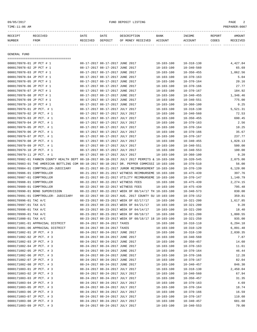-----------------------------------------------------------------------------------------------------------------------------------

| RECEIPT                                                | <b>RECEIVED</b>                                                                              | DATE     | DATE                                                               | DESCRIPTION                                          | BANK                                 | INCOME                               | REPORT | AMOUNT            |
|--------------------------------------------------------|----------------------------------------------------------------------------------------------|----------|--------------------------------------------------------------------|------------------------------------------------------|--------------------------------------|--------------------------------------|--------|-------------------|
| NUMBER                                                 | FROM                                                                                         | RECEIVED | DEPOSIT                                                            | OF MONEY RECEIVED                                    | ACCOUNT                              | ACCOUNT                              | CODES  | RECEIVED          |
|                                                        |                                                                                              |          |                                                                    |                                                      |                                      |                                      |        |                   |
| GENERAL FUND                                           | =====================================                                                        |          |                                                                    |                                                      |                                      |                                      |        |                   |
| 0000170978-01 JP PCT # 1                               |                                                                                              |          | 08-17-2017 08-17-2017 JUNE 2017                                    |                                                      | $10 - 103 - 100$                     | $10 - 318 - 130$                     |        | 4,427.84          |
| 0000170978-02 JP PCT # 1                               |                                                                                              |          | 08-17-2017 08-17-2017 JUNE 2017                                    |                                                      | $10 - 103 - 100$                     | $10 - 340 - 560$                     |        | 65.69             |
| 0000170978-03 JP PCT # 1                               |                                                                                              |          | 08-17-2017 08-17-2017 JUNE 2017                                    |                                                      | $10 - 103 - 100$                     | $10 - 350 - 455$                     |        | 1,062.56          |
| 0000170978-04 JP PCT # 1                               |                                                                                              |          | 08-17-2017 08-17-2017 JUNE 2017                                    |                                                      | $10 - 103 - 100$                     | $10 - 370 - 163$                     |        | 5.04              |
| 0000170978-05 JP PCT # 1                               |                                                                                              |          | 08-17-2017 08-17-2017 JUNE 2017                                    |                                                      | $10 - 103 - 100$                     | $10 - 370 - 164$                     |        | 20.16             |
| 0000170978-06 JP PCT # 1                               |                                                                                              |          | 08-17-2017 08-17-2017 JUNE 2017                                    |                                                      | $10 - 103 - 100$                     | $10 - 370 - 166$                     |        | 27.77             |
| 0000170978-07 JP PCT # 1                               |                                                                                              |          | 08-17-2017 08-17-2017 JUNE 2017                                    |                                                      | $10 - 103 - 100$                     | $10 - 370 - 167$                     |        | 184.92            |
| 0000170978-08 JP PCT # 1                               |                                                                                              |          | 08-17-2017 08-17-2017 JUNE 2017                                    |                                                      | $10 - 103 - 100$                     | $10 - 340 - 455$                     |        | 1,346.46          |
| 0000170978-09 JP PCT # 1                               |                                                                                              |          | 08-17-2017 08-17-2017 JUNE 2017                                    |                                                      | $10 - 103 - 100$                     | $10 - 340 - 551$                     |        | 775.00            |
| 0000170978-10 JP PCT # 1                               |                                                                                              |          | 08-17-2017 08-17-2017 JUNE 2017                                    |                                                      | $10 - 103 - 100$                     | $10 - 360 - 100$                     |        | 0.25              |
| 0000170979-01 JP PCT. # 1                              |                                                                                              |          | 08-17-2017 08-17-2017 JULY 2017                                    |                                                      | $10 - 103 - 100$                     | $10 - 318 - 130$                     |        | 5,521.31          |
| 0000170979-02 JP PCT. # 1                              |                                                                                              |          | 08-17-2017 08-17-2017 JULY 2017                                    |                                                      | $10 - 103 - 100$                     | $10 - 340 - 560$                     |        | 72.53             |
| 0000170979-03 JP PCT. # 1                              |                                                                                              |          | 08-17-2017 08-17-2017 JULY 2017                                    |                                                      | $10 - 103 - 100$                     | $10 - 350 - 455$                     |        | 690.45            |
| 0000170979-04 JP PCT. # 1                              |                                                                                              |          | 08-17-2017 08-17-2017 JULY 2017                                    |                                                      | $10 - 103 - 100$                     | $10 - 370 - 163$                     |        | 2.56              |
| 0000170979-05 JP PCT. # 1                              |                                                                                              |          | 08-17-2017 08-17-2017 JULY 2017                                    |                                                      | $10 - 103 - 100$                     | $10 - 370 - 164$                     |        | 10.25             |
| 0000170979-06 JP PCT. # 1                              |                                                                                              |          | 08-17-2017 08-17-2017 JULY 2017                                    |                                                      | $10 - 103 - 100$                     | $10 - 370 - 166$                     |        | 35.67             |
| 0000170979-07 JP PCT. # 1                              |                                                                                              |          | 08-17-2017 08-17-2017 JULY 2017                                    |                                                      | $10 - 103 - 100$                     | $10 - 370 - 167$                     |        | 237.77            |
| 0000170979-08 JP PCT. # 1                              |                                                                                              |          | 08-17-2017 08-17-2017 JULY 2017                                    |                                                      | $10 - 103 - 100$                     | $10 - 340 - 455$                     |        | 1,828.13          |
| 0000170979-09 JP PCT. # 1                              |                                                                                              |          | 08-17-2017 08-17-2017 JULY 2017                                    |                                                      | $10 - 103 - 100$                     | 10-340-551                           |        | 500.00            |
| 0000170979-10 JP PCT. # 1                              |                                                                                              |          | 08-17-2017 08-17-2017 JULY 2017                                    |                                                      | $10 - 103 - 100$                     | $10 - 340 - 553$                     |        | 100.00            |
| 0000170979-11 JP PCT. # 1                              |                                                                                              |          | 08-17-2017 08-17-2017 JULY 2017                                    |                                                      | $10 - 103 - 100$                     | $10 - 360 - 100$                     |        | 0.20              |
|                                                        | 0000170982-01 FANNIN COUNTY HEALTH DEPT 08-18-2017 08-18-2017 JULY 2017 PERMITS & 10-103-100 |          |                                                                    |                                                      |                                      | $10 - 320 - 545$                     |        | 2,075.00          |
|                                                        | 0000170983-01 THE AMERICAN BOTTLING COM 08-18-2017 08-18-2017 DR. PEPPER COMMISSI 10-103-100 |          |                                                                    |                                                      |                                      | $10 - 370 - 510$                     |        | 56.00             |
|                                                        | 0000170984-01 COMPTROLLER-JUDICIARY                                                          |          |                                                                    | 08-21-2017 08-21-2017 JUROR REIMBURSEMENT 10-103-100 |                                      | $10 - 370 - 139$                     |        | 6,120.00          |
| 0000170986-01 COMPTROLLER                              |                                                                                              |          |                                                                    | 08-21-2017 08-21-2017 WITNESS REIMBURSEME 10-103-100 |                                      | $10 - 475 - 439$                     |        | 397.76            |
| 0000170987-01 COMPTROLLER                              |                                                                                              |          |                                                                    | 08-21-2017 08-21-2017 UTILITY REIMBURSEME 10-103-100 |                                      | $10 - 370 - 147$                     |        | 1,140.79          |
| 0000170988-01 COMPTROLLER                              |                                                                                              |          |                                                                    | 08-22-2017 08-22-2017 WITNESS FEES                   | $10 - 103 - 100$                     | $10 - 475 - 439$                     |        | 2,274.15          |
| 0000170989-01 COMPTROLLER                              |                                                                                              |          |                                                                    | 08-22-2017 08-22-2017 WITNESS FEES                   | $10 - 103 - 100$                     | $10 - 475 - 439$                     |        | 795.48            |
|                                                        | 0000170990-01 BOND SUPERVISION                                                               |          |                                                                    | 08-22-2017 08-22-2017 WEEK OF 08/14/17 TH 10-103-100 |                                      | $10 - 340 - 573$                     |        | 830.00            |
|                                                        | 0000170991-01 COMPTROLLER- JUDICIARY                                                         |          |                                                                    | 08-22-2017 08-22-2017 AUG. 2017 COUNTY SU 10-103-100 |                                      | $10 - 370 - 152$                     |        | 359.81            |
| 0000170996-01 TAC A/C                                  |                                                                                              |          |                                                                    | 08-23-2017 08-23-2017 WEEK OF 02/17/17               | $10 - 103 - 100$                     | $10 - 321 - 200$                     |        | 1,617.85          |
| 0000170997-01 TAX A/C                                  |                                                                                              |          |                                                                    | 08-23-2017 08-23-2017 WEEK OF 04/21/17               | $10 - 103 - 100$                     | $10 - 321 - 200$                     |        | 9.20              |
| 0000170998-01 TAX A/C                                  |                                                                                              |          |                                                                    | 08-23-2017 08-23-2017 WEEK OF 04/14/17               | 10-103-100                           | $10 - 321 - 200$                     |        | 18.40             |
| 0000170999-01 TAX A/C                                  |                                                                                              |          |                                                                    | 08-23-2017 08-23-2017 WEEK OF 08/18/17               | $10 - 103 - 100$                     | $10 - 321 - 200$                     |        | 1,800.55          |
| 0000171000-01 TAX A/C                                  |                                                                                              |          |                                                                    | 08-23-2017 08-23-2017 WEEK OF 08/18/17 18 10-103-100 |                                      | $10 - 321 - 250$                     |        | 935.00            |
|                                                        | 0000171001-01 APPRAISAL DISTRICT                                                             |          | 08-24-2017 08-24-2017 TAXES                                        |                                                      | $10 - 103 - 100$                     | $10 - 310 - 110$                     |        | 6,294.18          |
|                                                        | 0000171001-06 APPRAISAL DISTRICT                                                             |          | 08-24-2017 08-24-2017 TAXES                                        |                                                      | $10 - 103 - 100$                     | $10 - 310 - 120$                     |        | 6,891.48          |
| 0000171002-01 JP PCT. # 3                              |                                                                                              |          | 08-24-2017 08-24-2017 JUNE 2017                                    |                                                      | $10 - 103 - 100$                     | $10 - 318 - 130$                     |        | 2,030.35          |
| 0000171002-02 JP PCT. # 3                              |                                                                                              |          | 08-24-2017 08-24-2017 JUNE 2017                                    |                                                      | $10 - 103 - 100$                     | $10 - 340 - 560$                     |        | 7.87              |
| 0000171002-03 JP PCT. # 3                              |                                                                                              |          | 08-24-2017 08-24-2017 JUNE 2017                                    |                                                      | $10 - 103 - 100$                     | $10 - 350 - 457$                     |        | 14.60             |
| 0000171002-04 JP PCT. # 3                              |                                                                                              |          | 08-24-2017 08-24-2017 JUNE 2017                                    |                                                      | $10 - 103 - 100$                     | $10 - 370 - 163$                     |        | 11.61             |
| 0000171002-05 JP PCT. # 3<br>0000171002-06 JP PCT. # 3 |                                                                                              |          | 08-24-2017 08-24-2017 JUNE 2017<br>08-24-2017 08-24-2017 JUNE 2017 |                                                      | $10 - 103 - 100$<br>$10 - 103 - 100$ | $10 - 370 - 164$<br>$10 - 370 - 166$ |        | 46.44             |
| 0000171002-07 JP PCT. # 3                              |                                                                                              |          | 08-24-2017 08-24-2017 JUNE 2017                                    |                                                      | $10 - 103 - 100$                     |                                      |        | 12.28             |
| 0000171002-08 JP PCT. # 3                              |                                                                                              |          | 08-24-2017 08-24-2017 JUNE 2017                                    |                                                      | $10 - 103 - 100$                     | $10 - 370 - 167$<br>$10 - 340 - 457$ |        | 82.04<br>846.30   |
|                                                        |                                                                                              |          |                                                                    |                                                      |                                      |                                      |        |                   |
| 0000171003-01 JP PCT. # 3<br>0000171003-02 JP PCT. # 3 |                                                                                              |          | 08-24-2017 08-24-2017 JULY 2017<br>08-24-2017 08-24-2017 JULY 2017 |                                                      | $10 - 103 - 100$<br>$10 - 103 - 100$ | $10 - 318 - 130$<br>$10 - 340 - 560$ |        | 2,450.04<br>67.94 |
| 0000171003-03 JP PCT. # 3                              |                                                                                              |          | 08-24-2017 08-24-2017 JULY 2017                                    |                                                      | $10 - 103 - 100$                     | $10 - 350 - 457$                     |        | 31.35             |
|                                                        |                                                                                              |          | 08-24-2017 08-24-2017 JULY 2017                                    |                                                      | $10 - 103 - 100$                     |                                      |        | 4.69              |
| 0000171003-04 JP PCT. # 3<br>0000171003-05 JP PCT. # 3 |                                                                                              |          | 08-24-2017 08-24-2017 JULY 2017                                    |                                                      | $10 - 103 - 100$                     | $10 - 370 - 163$<br>$10 - 370 - 164$ |        | 18.74             |
| 0000171003-06 JP PCT. # 3                              |                                                                                              |          | 08-24-2017 08-24-2017 JULY 2017                                    |                                                      | $10 - 103 - 100$                     | $10 - 370 - 166$                     |        | 16.59             |
| 0000171003-07 JP PCT. # 3                              |                                                                                              |          | 08-24-2017 08-24-2017 JULY 2017                                    |                                                      | $10 - 103 - 100$                     | $10 - 370 - 167$                     |        | 110.60            |
| 0000171003-08 JP PCT. # 3                              |                                                                                              |          | 08-24-2017 08-24-2017 JULY 2017                                    |                                                      | $10 - 103 - 100$                     | $10 - 340 - 457$                     |        | 681.60            |
| 0000171003-09 JP PCT. # 3                              |                                                                                              |          | 08-24-2017 08-24-2017 JULY 2017                                    |                                                      |                                      |                                      |        | 70.00             |
|                                                        |                                                                                              |          |                                                                    |                                                      | $10 - 103 - 100$                     | $10 - 340 - 553$                     |        |                   |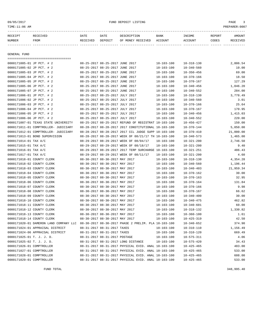| TIME:11:06 AM              |                                        |          |                                 |                                                      |                  |                  |        | PREPARER: 0007 |
|----------------------------|----------------------------------------|----------|---------------------------------|------------------------------------------------------|------------------|------------------|--------|----------------|
| RECEIPT                    | <b>RECEIVED</b>                        | DATE     | DATE                            | DESCRIPTION                                          | BANK             | INCOME           | REPORT | AMOUNT         |
| NUMBER                     | FROM                                   | RECEIVED | DEPOSIT                         | OF MONEY RECEIVED                                    | ACCOUNT          | <b>ACCOUNT</b>   | CODES  | RECEIVED       |
|                            |                                        |          |                                 |                                                      |                  |                  |        |                |
| GENERAL FUND               | ====================================   |          |                                 |                                                      |                  |                  |        |                |
| 0000171005-01 JP PCT. # 2  |                                        |          | 08-25-2017 08-25-2017 JUNE 2017 |                                                      | $10 - 103 - 100$ | $10 - 318 - 130$ |        | 2,806.54       |
| 0000171005-02 JP PCT. # 2  |                                        |          | 08-25-2017 08-25-2017 JUNE 2017 |                                                      | $10 - 103 - 100$ | $10 - 340 - 560$ |        | 10.00          |
| 0000171005-03 JP PCT. # 2  |                                        |          | 08-25-2017 08-25-2017 JUNE 2017 |                                                      | $10 - 103 - 100$ | $10 - 350 - 456$ |        | 69.00          |
| 0000171005-04 JP PCT. # 2  |                                        |          | 08-25-2017 08-25-2017 JUNE 2017 |                                                      | $10 - 103 - 100$ | $10 - 370 - 166$ |        | 18.50          |
| 0000171005-05 JP PCT. # 2  |                                        |          | 08-25-2017 08-25-2017 JUNE 2017 |                                                      | $10 - 103 - 100$ | $10 - 370 - 167$ |        | 127.29         |
| 0000171005-06 JP PCT. # 2  |                                        |          | 08-25-2017 08-25-2017 JUNE 2017 |                                                      | $10 - 103 - 100$ | $10 - 340 - 456$ |        | 1,046.20       |
| 0000171005-07 JP PCT. # 2  |                                        |          | 08-25-2017 08-25-2017 JUNE 2017 |                                                      | $10 - 103 - 100$ | $10 - 340 - 552$ |        | 284.00         |
| 0000171006-01 JP PCT. # 2  |                                        |          | 08-25-2017 08-25-2017 JULY 2017 |                                                      | $10 - 103 - 100$ | $10 - 318 - 130$ |        | 3,778.49       |
| 0000171006-02 JP PCT. # 2  |                                        |          | 08-25-2017 08-25-2017 JULY 2017 |                                                      | $10 - 103 - 100$ | $10 - 340 - 560$ |        | 3.01           |
| 0000171006-03 JP PCT. # 2  |                                        |          | 08-25-2017 08-25-2017 JULY 2017 |                                                      | $10 - 103 - 100$ | $10 - 370 - 166$ |        | 25.64          |
| 0000171006-04 JP PCT. # 2  |                                        |          | 08-25-2017 08-25-2017 JULY 2017 |                                                      | $10 - 103 - 100$ | $10 - 370 - 167$ |        | 170.95         |
| 0000171006-05 JP PCT. # 2  |                                        |          | 08-25-2017 08-25-2017 JULY 2017 |                                                      | $10 - 103 - 100$ | $10 - 340 - 456$ |        | 1,415.03       |
| 0000171006-06 JP PCT. # 2  |                                        |          | 08-25-2017 08-25-2017 JULY 2017 |                                                      | $10 - 103 - 100$ | $10 - 340 - 552$ |        | 220.00         |
|                            | 0000171007-01 TEXAS STATE UNIVERSITY   |          |                                 | 08-25-2017 08-25-2017 REFUND OF REGISTRAT 10-103-100 |                  | $10 - 456 - 427$ |        | 150.00         |
|                            | 0000171011-01 COMPTROLLER- JUDICIARY   |          |                                 | 08-28-2017 08-28-2017 2017 CONSTITUTIONAL 10-103-100 |                  | $10 - 370 - 144$ |        | 5,050.00       |
|                            | 0000171012-01 COMPTROLLER- JUDICIARY   |          |                                 | 08-28-2017 08-28-2017 2017 CCL JUDGE SUPP 10-103-100 |                  | $10 - 370 - 410$ |        | 21,000.00      |
|                            | 0000171013-01 BOND SUPERVISION         |          |                                 | 08-28-2017 08-28-2017 WEEK OF 08/21/17 TH 10-103-100 |                  | $10 - 340 - 573$ |        | 1,465.00       |
| 0000171014-01 TAX A/C      |                                        |          |                                 | 08-29-2017 08-29-2017 WEEK OF 08/04/17               | $10 - 103 - 100$ | $10 - 321 - 200$ |        | 2,746.50       |
| 0000171015-01 TAX A/C      |                                        |          |                                 | 08-29-2017 08-29-2017 WEEK OF 08/18/17               | $10 - 103 - 100$ | $10 - 321 - 200$ |        | 9.40           |
| 0000171016-01 TAX A/C      |                                        |          |                                 | 08-29-2017 08-29-2017 2017 TERP SURCHARGE 10-103-100 |                  | $10 - 321 - 251$ |        | 486.43         |
| 0000171017-01 TAX A/C      |                                        |          |                                 | 08-29-2017 08-29-2017 WEEK OF 08/11/17               | $10 - 103 - 100$ | $10 - 321 - 200$ |        | 4.60           |
| 0000171018-01 COUNTY CLERK |                                        |          | 08-30-2017 08-30-2017 MAY 2017  |                                                      | $10 - 103 - 100$ | $10 - 318 - 130$ |        | 4,354.28       |
| 0000171018-02 COUNTY CLERK |                                        |          | 08-30-2017 08-30-2017 MAY 2017  |                                                      | $10 - 103 - 100$ | $10 - 340 - 560$ |        | 1,196.44       |
| 0000171018-03 COUNTY CLERK |                                        |          | 08-30-2017 08-30-2017 MAY 2017  |                                                      | $10 - 103 - 100$ | $10 - 340 - 403$ |        | 21,959.34      |
| 0000171018-04 COUNTY CLERK |                                        |          | 08-30-2017 08-30-2017 MAY 2017  |                                                      | $10 - 103 - 100$ | $10 - 370 - 162$ |        | 30.00          |
| 0000171018-05 COUNTY CLERK |                                        |          | 08-30-2017 08-30-2017 MAY 2017  |                                                      | $10 - 103 - 100$ | $10 - 370 - 163$ |        | 32.95          |
| 0000171018-06 COUNTY CLERK |                                        |          | 08-30-2017 08-30-2017 MAY 2017  |                                                      | $10 - 103 - 100$ | $10 - 370 - 164$ |        | 131.84         |
| 0000171018-07 COUNTY CLERK |                                        |          | 08-30-2017 08-30-2017 MAY 2017  |                                                      | $10 - 103 - 100$ | $10 - 370 - 166$ |        | 9.98           |
| 0000171018-08 COUNTY CLERK |                                        |          | 08-30-2017 08-30-2017 MAY 2017  |                                                      | $10 - 103 - 100$ | $10 - 370 - 167$ |        | 66.62          |
| 0000171018-09 COUNTY CLERK |                                        |          | 08-30-2017 08-30-2017 MAY 2017  |                                                      | $10 - 103 - 100$ | $10 - 340 - 400$ |        | 30.00          |
| 0000171018-10 COUNTY CLERK |                                        |          | 08-30-2017 08-30-2017 MAY 2017  |                                                      | $10 - 103 - 100$ | $10 - 340 - 475$ |        | 462.82         |
| 0000171018-11 COUNTY CLERK |                                        |          | 08-30-2017 08-30-2017 MAY 2017  |                                                      | $10 - 103 - 100$ | $10 - 340 - 601$ |        | 60.00          |
| 0000171018-12 COUNTY CLERK |                                        |          | 08-30-2017 08-30-2017 MAY 2017  |                                                      | $10 - 103 - 100$ | $10 - 318 - 132$ |        | 1,330.82       |
| 0000171018-13 COUNTY CLERK |                                        |          | 08-30-2017 08-30-2017 MAY 2017  |                                                      | $10 - 103 - 100$ | $10 - 360 - 100$ |        | 1.61           |
| 0000171018-14 COUNTY CLERK |                                        |          | 08-30-2017 08-30-2017 MAY 2017  |                                                      | $10 - 103 - 100$ | $10 - 425 - 319$ |        | 42.50          |
|                            | 0000171020-01 DAMERON LAND COMPANY LLC |          |                                 | 08-30-2017 08-30-2017 PHASE 2 PRELIM. PLA 10-103-100 |                  | $10 - 340 - 652$ |        | 374.90         |
|                            | 0000171024-01 APPRAISAL DISTRICT       |          | 08-31-2017 08-31-2017 TAXES     |                                                      | $10 - 103 - 100$ | $10 - 310 - 110$ |        | 1,156.49       |

0000171024-06 APPRAISAL DISTRICT 08-31-2017 08-31-2017 TAXES 10-103-100 10-310-120 669.49 0000171025-01 T. J. J. D. 68-31-2017 08-31-2017 POSTAGE 10-103-100 10-575-311 4.06 0000171025-02 T. J. J. D. 68-31-2017 08-31-2017 LONG DISTANCE 10-103-100 10-575-420 34.43 0000171026-01 COMPTROLLER 08-31-2017 08-31-2017 PHYSICAL EVID. ANAL 10-103-100 10-425-465 483.00 0000171027-01 COMPTROLLER 08-31-2017 08-31-2017 PHYSICAL EVID. ANAL 10-103-100 10-425-465 533.00 0000171028-01 COMPTROLLER 08-31-2017 08-31-2017 PHYSICAL EVID. ANAL 10-103-100 10-425-465 608.00 0000171029-01 COMPTROLLER 08-31-2017 08-31-2017 PHYSICAL EVID. ANAL 10-103-100 10-425-465 533.00

FUND TOTAL 348,995.40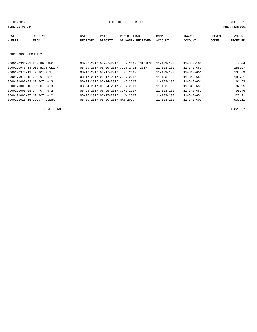09/05/2017 FUND DEPOSIT LISTING PAGE 1

| RECEIPT | RECEIVED | DATE     | DATE    | DESCRIPTION               | BANK | INCOME  | REPORT | AMOUNT   |
|---------|----------|----------|---------|---------------------------|------|---------|--------|----------|
| NUMBER  | FROM     | RECEIVED | DEPOSIT | OF MONEY RECEIVED ACCOUNT |      | ACCOUNT | CODES  | RECEIVED |
|         |          |          |         |                           |      |         |        |          |
|         |          |          |         |                           |      |         |        |          |

#### COURTHOUSE SECURITY

| ============================ |                                          |                  |                  |        |
|------------------------------|------------------------------------------|------------------|------------------|--------|
| 0000170933-02 LEGEND BANK    | 08-07-2017 08-07-2017 JULY 2017 INTEREST | $11 - 103 - 100$ | $11 - 360 - 100$ | 7.04   |
| 0000170946-14 DISTRICT CLERK | 08-09-2017 08-09-2017 JULY 1-31, 2017    | $11 - 103 - 100$ | $11 - 340 - 650$ | 186.97 |
| 0000170978-11 JP PCT # 1     | 08-17-2017 08-17-2017 JUNE 2017          | $11 - 103 - 100$ | $11 - 340 - 651$ | 138.69 |
| 0000170979-12 JP PCT. # 1    | 08-17-2017 08-17-2017 JULY 2017          | $11 - 103 - 100$ | $11 - 340 - 651$ | 181.31 |
| 0000171002-09 JP PCT. # 3    | 08-24-2017 08-24-2017 JUNE 2017          | $11 - 103 - 100$ | $11 - 340 - 651$ | 61.53  |
| 0000171003-10 JP PCT. # 3    | 08-24-2017 08-24-2017 JULY 2017          | $11 - 103 - 100$ | $11 - 340 - 651$ | 82.95  |
| 0000171005-08 JP PCT. # 2    | 08-25-2017 08-25-2017 JUNE 2017          | $11 - 103 - 100$ | $11 - 340 - 651$ | 95.46  |
| 0000171006-07 JP PCT. # 2    | 08-25-2017 08-25-2017 JULY 2017          | $11 - 103 - 100$ | $11 - 340 - 651$ | 128.21 |
| 0000171018-15 COUNTY CLERK   | 08-30-2017 08-30-2017 MAY 2017           | $11 - 103 - 100$ | $11 - 340 - 600$ | 939.11 |

FUND TOTAL  $1,821.27$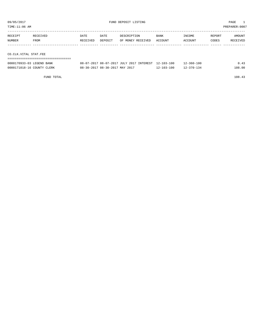TIME:11:06 AM PREPARER:0007

| RECEIPT               | RECEIVED | DATE     | DATE    | DESCRIPTION       | <b>BANK</b> | INCOME  | REPORT | AMOUNT   |
|-----------------------|----------|----------|---------|-------------------|-------------|---------|--------|----------|
| NUMBER                | FROM     | RECEIVED | DEPOSIT | OF MONEY RECEIVED | ACCOUNT     | ACCOUNT | CODES  | RECEIVED |
|                       |          |          |         |                   |             |         |        |          |
|                       |          |          |         |                   |             |         |        |          |
| CO.CLK.VITAL STAT.FEE |          |          |         |                   |             |         |        |          |

===================================

| 0000170933-03 LEGEND BANK  | 08-07-2017 08-07-2017 JULY 2017 INTEREST 12-103-100 |                  | $12 - 360 - 100$ |        |
|----------------------------|-----------------------------------------------------|------------------|------------------|--------|
| 0000171018-16 COUNTY CLERK | 08-30-2017 08-30-2017 MAY 2017                      | $12 - 103 - 100$ | $12 - 370 - 134$ | 108.00 |

FUND TOTAL 108.43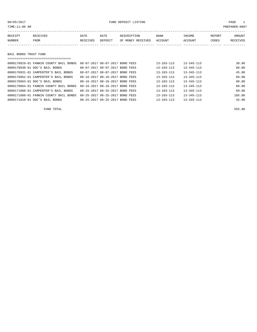## 09/05/2017 FUND DEPOSIT LISTING PAGE 1

| RECEIPT               | RECEIVED | DATE     | DATE    | DESCRIPTION       | BANK    | INCOME  | REPORT | <b>AMOUNT</b> |
|-----------------------|----------|----------|---------|-------------------|---------|---------|--------|---------------|
| NUMBER                | FROM     | RECEIVED | DEPOSIT | OF MONEY RECEIVED | ACCOUNT | ACCOUNT | CODES  | RECEIVED      |
|                       |          |          |         |                   |         |         |        |               |
|                       |          |          |         |                   |         |         |        |               |
| BAIL BONDS TRUST FUND |          |          |         |                   |         |         |        |               |

|  | --------------------------------- | ----------------------------------- |
|--|-----------------------------------|-------------------------------------|

| 0000170929-01 FANNIN COUNTY BAIL BONDS | 08-07-2017 08-07-2017 BOND FEES |  | $13 - 103 - 113$ | $13 - 345 - 113$ | 30.00  |
|----------------------------------------|---------------------------------|--|------------------|------------------|--------|
| 0000170930-01 DOC'S BAIL BONDS         | 08-07-2017 08-07-2017 BOND FEES |  | $13 - 103 - 113$ | $13 - 345 - 113$ | 60.00  |
| 0000170931-01 CARPENTER'S BAIL BONDS   | 08-07-2017 08-07-2017 BOND FEES |  | $13 - 103 - 113$ | $13 - 345 - 113$ | 45.00  |
| 0000170962-01 CARPENTER'S BAIL BONDS   | 08-16-2017 08-16-2017 BOND FEES |  | $13 - 103 - 113$ | $13 - 345 - 113$ | 60.00  |
| 0000170963-01 DOC'S BAIL BONDS         | 08-16-2017 08-16-2017 BOND FEES |  | $13 - 103 - 113$ | $13 - 345 - 113$ | 90.00  |
| 0000170964-01 FANNIN COUNTY BAIL BONDS | 08-16-2017 08-16-2017 BOND FEES |  | $13 - 103 - 113$ | $13 - 345 - 113$ | 60.00  |
| 0000171008-01 CARPENTER'S BAIL BONDS   | 08-25-2017 08-25-2017 BOND FEES |  | $13 - 103 - 113$ | $13 - 345 - 113$ | 60.00  |
| 0000171009-01 FANNIN COUNTY BAIL BONDS | 08-25-2017 08-25-2017 BOND FEES |  | $13 - 103 - 113$ | $13 - 345 - 113$ | 105.00 |
| 0000171010-01 DOC'S BAIL BONDS         | 08-25-2017 08-25-2017 BOND FEES |  | $13 - 103 - 113$ | $13 - 345 - 113$ | 45.00  |

FUND TOTAL 555.00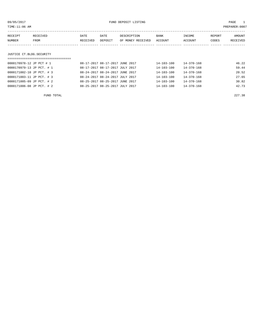| TIME:11:06 AM             |          |                                 |         |                   |                  |                  |        | PREPARER:0007 |
|---------------------------|----------|---------------------------------|---------|-------------------|------------------|------------------|--------|---------------|
| RECEIPT                   | RECEIVED | DATE                            | DATE    | DESCRIPTION       | BANK             | INCOME           | REPORT | AMOUNT        |
| NUMBER                    | FROM     | RECEIVED                        | DEPOSIT | OF MONEY RECEIVED | ACCOUNT          | ACCOUNT          | CODES  | RECEIVED      |
|                           |          |                                 |         |                   |                  |                  |        |               |
| JUSTICE CT.BLDG.SECURITY  |          |                                 |         |                   |                  |                  |        |               |
|                           |          |                                 |         |                   |                  |                  |        |               |
| 0000170978-12 JP PCT # 1  |          | 08-17-2017 08-17-2017 JUNE 2017 |         |                   | $14 - 103 - 100$ | $14 - 370 - 168$ |        | 46.22         |
| 0000170979-13 JP PCT. # 1 |          | 08-17-2017 08-17-2017 JULY 2017 |         |                   | $14 - 103 - 100$ | $14 - 370 - 168$ |        | 59.44         |
| 0000171002-10 JP PCT. # 3 |          | 08-24-2017 08-24-2017 JUNE 2017 |         |                   | $14 - 103 - 100$ | 14-370-168       |        | 20.52         |
| 0000171003-11 JP PCT. # 3 |          | 08-24-2017 08-24-2017 JULY 2017 |         |                   | $14 - 103 - 100$ | 14-370-168       |        | 27.65         |
| 0000171005-09 JP PCT. # 2 |          | 08-25-2017 08-25-2017 JUNE 2017 |         |                   | $14 - 103 - 100$ | $14 - 370 - 168$ |        | 30.82         |
| 0000171006-08 JP PCT. # 2 |          | 08-25-2017 08-25-2017 JULY 2017 |         |                   | $14 - 103 - 100$ | $14 - 370 - 168$ |        | 42.73         |
|                           |          |                                 |         |                   |                  |                  |        |               |

FUND TOTAL 227.38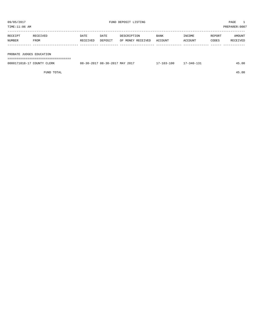| TIME:11:06 AM            |          |          |         |                   |         |         |        | PREPARER:0007 |
|--------------------------|----------|----------|---------|-------------------|---------|---------|--------|---------------|
|                          |          |          |         |                   |         |         |        |               |
| RECEIPT                  | RECEIVED | DATE     | DATE    | DESCRIPTION       | BANK    | INCOME  | REPORT | AMOUNT        |
| NUMBER                   | FROM     | RECEIVED | DEPOSIT | OF MONEY RECEIVED | ACCOUNT | ACCOUNT | CODES  | RECEIVED      |
|                          |          |          |         |                   |         |         |        |               |
|                          |          |          |         |                   |         |         |        |               |
| PROBATE JUDGES EDUCATION |          |          |         |                   |         |         |        |               |

===================================

| 0000171018-1<br>$\cap$ otintiv<br>'LERK | 08-30-2017 MAY 2017<br>- 30 – 2017<br>08- | 100 | 340-<br>. <i>. .</i> | .5.00 |
|-----------------------------------------|-------------------------------------------|-----|----------------------|-------|
|                                         |                                           |     |                      |       |

FUND TOTAL 45.00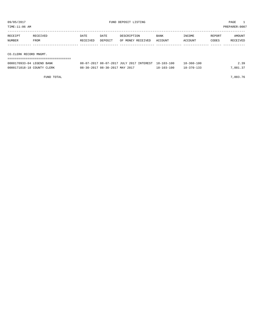| TIME:11:06 AM |                        |          |         |                   |             |         |        | PREPARER:0007 |  |  |
|---------------|------------------------|----------|---------|-------------------|-------------|---------|--------|---------------|--|--|
| RECEIPT       | RECEIVED               | DATE     | DATE    | DESCRIPTION       | <b>BANK</b> | INCOME  | REPORT | AMOUNT        |  |  |
| NUMBER        | FROM                   | RECEIVED | DEPOSIT | OF MONEY RECEIVED | ACCOUNT     | ACCOUNT | CODES  | RECEIVED      |  |  |
|               |                        |          |         |                   |             |         |        |               |  |  |
|               | CO.CLERK RECORD MNGMT. |          |         |                   |             |         |        |               |  |  |
|               |                        |          |         |                   |             |         |        |               |  |  |

| 0000170933-04 LEGEND BANK  | 08-07-2017 08-07-2017 JULY 2017 INTEREST 18-103-100 |            | $8 - 360 - 100$ | 39       |
|----------------------------|-----------------------------------------------------|------------|-----------------|----------|
| 0000171018-18 COUNTY CLERK | 08-30-2017 08-30-2017 MAY 2017                      | 18-103-100 | 18-370-133      | 7,881.37 |

FUND TOTAL 7,883.76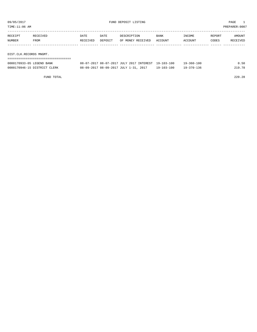TIME:11:06 AM PREPARER:0007

| RECEIPT | RECEIVED | DATE     | DATE    | DESCRIPTION       | <b>BANK</b> | INCOME  | REPORT | AMOUNT   |
|---------|----------|----------|---------|-------------------|-------------|---------|--------|----------|
| NUMBER  | FROM     | RECEIVED | DEPOSIT | OF MONEY RECEIVED | ACCOUNT     | ACCOUNT | CODES  | RECEIVED |
|         |          |          |         |                   |             |         |        |          |
|         |          |          |         |                   |             |         |        |          |

DIST.CLK.RECORDS MNGMT.

| 0000170933-05 LEGEND BANK    | 08-07-2017 08-07-2017 JULY 2017 INTEREST 19-103-100 |                  | $19 - 360 - 100$ | 0.50   |
|------------------------------|-----------------------------------------------------|------------------|------------------|--------|
| 0000170946-15 DISTRICT CLERK | 08-09-2017 08-09-2017 JULY 1-31, 2017               | $19 - 103 - 100$ | $19 - 370 - 136$ | 219.78 |

FUND TOTAL 220.28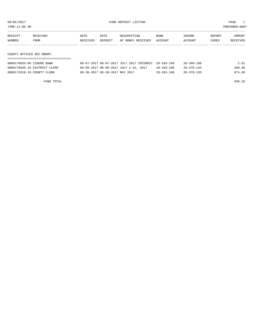TIME:11:06 AM PREPARER:0007

| RECEIPT | RECEIVED                  | DATE     | DATE    | DESCRIPTION       | <b>BANK</b> | INCOME  | REPORT | AMOUNT   |
|---------|---------------------------|----------|---------|-------------------|-------------|---------|--------|----------|
| NUMBER  | FROM                      | RECEIVED | DEPOSIT | OF MONEY RECEIVED | ACCOUNT     | ACCOUNT | CODES  | RECEIVED |
|         |                           |          |         |                   |             |         |        |          |
|         | COUNTY OFFICES REC.MNGMT. |          |         |                   |             |         |        |          |

===================================

| 0000170933-06 LEGEND BANK    | 08-07-2017 08-07-2017 JULY 2017 INTEREST 20-103-100 |                  | $20 - 360 - 100$ | 2.61   |
|------------------------------|-----------------------------------------------------|------------------|------------------|--------|
| 0000170946-16 DISTRICT CLERK | 08-09-2017 08-09-2017 JULY 1-31, 2017               | $20 - 103 - 100$ | $20 - 370 - 135$ | 260.96 |
| 0000171018-19 COUNTY CLERK   | 08-30-2017 08-30-2017 MAY 2017                      | $20 - 103 - 100$ | $20 - 370 - 135$ | 674.69 |

FUND TOTAL 938.26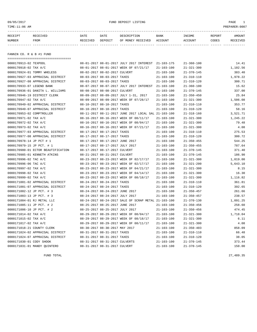09/05/2017 FUND DEPOSIT LISTING PAGE 1

| RECEIPT | <b>RECEIVED</b> | DATE            | DATE    | DESCRIPTION       | <b>BANK</b> | INCOME  | <b>REPORT</b> | AMOUNT          |
|---------|-----------------|-----------------|---------|-------------------|-------------|---------|---------------|-----------------|
| NUMBER  | FROM            | <b>RECEIVED</b> | DEPOSIT | OF MONEY RECEIVED | ACCOUNT     | ACCOUNT | CODES         | <b>RECEIVED</b> |
|         |                 |                 |         |                   |             |         |               |                 |

FANNIN CO. R & B #1 FUND

| ==================================== |                                 |                                 |                                                      |                  |                  |          |
|--------------------------------------|---------------------------------|---------------------------------|------------------------------------------------------|------------------|------------------|----------|
| 0000170913-02 TEXPOOL                |                                 |                                 | 08-01-2017 08-01-2017 JULY 2017 INTEREST             | 21-103-175       | $21 - 360 - 100$ | 14.41    |
| 0000170918-02 TAX A/C                |                                 |                                 | 08-01-2017 08-01-2017 WEEK OF 07/21/17               | $21 - 103 - 100$ | $21 - 321 - 300$ | 1,102.56 |
| 0000170924-01 TOMMY WHELESS          |                                 | 08-02-2017 08-02-2017 CULVERT   |                                                      | $21 - 103 - 100$ | $21 - 370 - 145$ | 383.40   |
| 0000170927-03 APPRAISAL DISTRICT     |                                 | 08-03-2017 08-03-2017 TAXES     |                                                      | $21 - 103 - 100$ | $21 - 310 - 110$ | 1,978.22 |
| 0000170927-08 APPRAISAL DISTRICT     |                                 | 08-03-2017 08-03-2017 TAXES     |                                                      | $21 - 103 - 100$ | $21 - 310 - 120$ | 300.71   |
| 0000170933-07 LEGEND BANK            |                                 |                                 | 08-07-2017 08-07-2017 JULY 2017 INTEREST             | $21 - 103 - 100$ | $21 - 360 - 100$ | 15.62    |
| 0000170936-01 DANITA L. WILLIAMS     | 08-08-2017 08-08-2017 CULVERT   |                                 |                                                      | $21 - 103 - 100$ | $21 - 370 - 145$ | 337.00   |
| 0000170946-19 DISTRICT CLERK         |                                 |                                 | 08-09-2017 08-09-2017 JULY 1-31, 2017                | $21 - 103 - 100$ | $21 - 350 - 450$ | 25.84    |
| 0000170947-02 TAX A/C                |                                 |                                 | 08-09-2017 08-09-2017 WEEK OF 07/28/17               | $21 - 103 - 100$ | $21 - 321 - 300$ | 1,506.08 |
| 0000170949-02 APPRAISAL DISTRICT     |                                 | 08-10-2017 08-10-2017 TAXES     |                                                      | $21 - 103 - 100$ | $21 - 310 - 110$ | 353.77   |
| 0000170949-07 APPRAISAL DISTRICT     |                                 | 08-10-2017 08-10-2017 TAXES     |                                                      | $21 - 103 - 100$ | $21 - 310 - 120$ | 58.16    |
| 0000170953-02 COMPTROLLER            |                                 |                                 | 08-11-2017 08-11-2017 JUNE 2017 LOCAL SAL 21-103-100 |                  | $21 - 318 - 160$ | 3,521.71 |
| 0000170971-02 TAX A/C                |                                 |                                 | 08-16-2017 08-16-2017 WEEK OF 08/11/17               | $21 - 103 - 100$ | $21 - 321 - 300$ | 1,245.22 |
| 0000170972-02 TAX A/C                |                                 |                                 | 08-16-2017 08-16-2017 WEEK OF 08/04/17               | $21 - 103 - 100$ | $21 - 321 - 300$ | 79.48    |
| 0000170973-02 TAX A/C                |                                 |                                 | 08-16-2017 08-16-2017 WEEK OF 07/21/17               | $21 - 103 - 100$ | $21 - 321 - 300$ | 4.08     |
| 0000170977-03 APPRAISAL DISTRICT     | 08-17-2017 08-17-2017 TAXES     |                                 |                                                      | $21 - 103 - 100$ | $21 - 310 - 110$ | 275.53   |
| 0000170977-08 APPRAISAL DISTRICT     | 08-17-2017 08-17-2017 TAXES     |                                 |                                                      | $21 - 103 - 100$ | $21 - 310 - 120$ | 300.72   |
| 0000170978-14 JP PCT # 1             | 08-17-2017 08-17-2017 JUNE 2017 |                                 |                                                      | $21 - 103 - 100$ | $21 - 350 - 455$ | 544.25   |
| 0000170979-15 JP PCT. # 1            |                                 | 08-17-2017 08-17-2017 JULY 2017 |                                                      | 21-103-100       | $21 - 350 - 455$ | 787.64   |
| 0000170980-01 ECTOR BEAUTIFICATION   |                                 | 08-17-2017 08-17-2017 CULVERT   |                                                      | $21 - 103 - 100$ | $21 - 370 - 145$ | 371.40   |
| 0000170985-01 KENNETH ATKINS         |                                 | 08-21-2017 08-21-2017 CULVERT   |                                                      | $21 - 103 - 100$ | $21 - 370 - 145$ | 186.90   |
| 0000170996-02 TAC A/C                |                                 |                                 | 08-23-2017 08-23-2017 WEEK OF 02/17/17               | $21 - 103 - 100$ | $21 - 321 - 300$ | 1,019.00 |
| 0000170996-06 TAC A/C                |                                 |                                 | 08-23-2017 08-23-2017 WEEK OF 02/17/17               | $21 - 103 - 100$ | $21 - 321 - 200$ | 5,643.10 |
| 0000170997-02 TAX A/C                |                                 |                                 | 08-23-2017 08-23-2017 WEEK OF 04/21/17               | $21 - 103 - 100$ | $21 - 321 - 300$ | 8.15     |
| 0000170998-02 TAX A/C                |                                 |                                 | 08-23-2017 08-23-2017 WEEK OF 04/14/17               | $21 - 103 - 100$ | $21 - 321 - 300$ | 16.30    |
| 0000170999-02 TAX A/C                |                                 |                                 | 08-23-2017 08-23-2017 WEEK OF 08/18/17               | $21 - 103 - 100$ | $21 - 321 - 300$ | 1,116.82 |
| 0000171001-02 APPRAISAL DISTRICT     |                                 | 08-24-2017 08-24-2017 TAXES     |                                                      | $21 - 103 - 100$ | $21 - 310 - 110$ | 361.81   |
| 0000171001-07 APPRAISAL DISTRICT     |                                 | 08-24-2017 08-24-2017 TAXES     |                                                      | $21 - 103 - 100$ | $21 - 310 - 120$ | 392.65   |
| 0000171002-12 JP PCT. # 3            |                                 | 08-24-2017 08-24-2017 JUNE 2017 |                                                      | $21 - 103 - 100$ | $21 - 350 - 457$ | 261.66   |
| 0000171003-13 JP PCT. # 3            | 08-24-2017 08-24-2017 JULY 2017 |                                 |                                                      | $21 - 103 - 100$ | $21 - 350 - 457$ | 238.57   |
| 0000171004-01 RJ METAL LLC           |                                 |                                 | 08-24-2017 08-24-2017 SALE OF SCRAP METAL 21-103-100 |                  | $21 - 370 - 130$ | 1,091.25 |
| 0000171005-11 JP PCT. # 2            |                                 | 08-25-2017 08-25-2017 JUNE 2017 |                                                      | $21 - 103 - 100$ | $21 - 350 - 456$ | 258.60   |
| 0000171006-10 JP PCT. # 2            |                                 | 08-25-2017 08-25-2017 JULY 2017 |                                                      | $21 - 103 - 100$ | $21 - 350 - 456$ | 474.45   |
| 0000171014-02 TAX A/C                |                                 |                                 | 08-29-2017 08-29-2017 WEEK OF 08/04/17               | $21 - 103 - 100$ | $21 - 321 - 300$ | 1,718.04 |
| 0000171015-02 TAX A/C                |                                 |                                 | 08-29-2017 08-29-2017 WEEK OF 08/18/17               | $21 - 103 - 100$ | $21 - 321 - 300$ | 6.11     |
| 0000171017-02 TAX A/C                |                                 |                                 | 08-29-2017 08-29-2017 WEEK OF 08/11/17               | $21 - 103 - 100$ | $21 - 321 - 300$ | 4.08     |
| 0000171018-21 COUNTY CLERK           | 08-30-2017 08-30-2017 MAY 2017  |                                 |                                                      | $21 - 103 - 100$ | $21 - 350 - 403$ | 858.09   |
| 0000171024-02 APPRAISAL DISTRICT     | 08-31-2017 08-31-2017 TAXES     |                                 |                                                      | $21 - 103 - 100$ | $21 - 310 - 110$ | 66.48    |
| 0000171024-07 APPRAISAL DISTRICT     | 08-31-2017 08-31-2017 TAXES     |                                 |                                                      | $21 - 103 - 100$ | $21 - 310 - 120$ | 38.05    |
| 0000171030-01 CODY SHOOK             | 08-31-2017 08-31-2017 CULVERTS  |                                 |                                                      | $21 - 103 - 100$ | $21 - 370 - 145$ | 373.44   |
| 0000171031-01 MANDY OUINTERO         |                                 | 08-31-2017 08-31-2017 CULVERT   |                                                      | $21 - 103 - 100$ | $21 - 370 - 145$ | 150.00   |

FUND TOTAL 27,489.35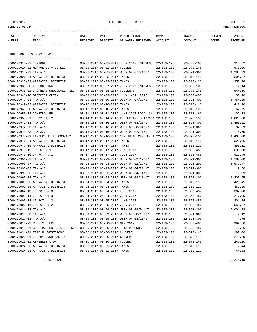## 09/05/2017 FUND DEPOSIT LISTING PAGE 1

| RECEIPT | <b>RECEIVED</b> | DATE     | DATE    | DESCRIPTION       | <b>BANK</b> | <b>TNCOME</b> | REPORT | AMOUNT          |
|---------|-----------------|----------|---------|-------------------|-------------|---------------|--------|-----------------|
| NUMBER  | FROM            | RECEIVED | DEPOSIT | OF MONEY RECEIVED | ACCOUNT     | ACCOUNT       | CODES  | <b>RECEIVED</b> |
|         |                 |          |         |                   |             |               |        |                 |

FANNIN CO. R & B #2 FUND

| =====================================                                      |                                 |                                |                                                      |                  |                  |          |
|----------------------------------------------------------------------------|---------------------------------|--------------------------------|------------------------------------------------------|------------------|------------------|----------|
| 0000170913-03 TEXPOOL                                                      |                                 |                                | 08-01-2017 08-01-2017 JULY 2017 INTEREST             | $22 - 103 - 175$ | $22 - 360 - 100$ | 313.32   |
| 0000170914-01 MONROE ESTATES LLC                                           | 08-01-2017 08-01-2017 CULVERT   |                                |                                                      | $22 - 103 - 100$ | $22 - 370 - 145$ | 570.00   |
| 0000170918-03 TAX A/C                                                      |                                 |                                | 08-01-2017 08-01-2017 WEEK OF 07/21/17               | $22 - 103 - 100$ | $22 - 321 - 300$ | 1,284.33 |
| 0000170927-04 APPRAISAL DISTRICT                                           | 08-03-2017 08-03-2017 TAXES     |                                |                                                      | $22 - 103 - 100$ | $22 - 310 - 110$ | 2,304.37 |
| 0000170927-09 APPRAISAL DISTRICT                                           | 08-03-2017 08-03-2017 TAXES     |                                |                                                      | $22 - 103 - 100$ | $22 - 310 - 120$ | 350.28   |
| 0000170933-08 LEGEND BANK                                                  |                                 |                                | 08-07-2017 08-07-2017 JULY 2017 INTEREST             | 22-103-100       | $22 - 360 - 100$ | 17.14    |
| 0000170935-01 BROTHERS WHOLESALE, LLC                                      | 08-08-2017 08-08-2017 CULVERTS  |                                |                                                      | 22-103-100       | $22 - 370 - 145$ | 544.60   |
| 0000170946-20 DISTRICT CLERK                                               |                                 |                                | 08-09-2017 08-09-2017 JULY 1-31, 2017                | $22 - 103 - 100$ | $22 - 350 - 450$ | 30.10    |
| 0000170947-03 TAX A/C                                                      |                                 |                                | 08-09-2017 08-09-2017 WEEK OF 07/28/17               | $22 - 103 - 100$ | $22 - 321 - 300$ | 1,754.39 |
| 0000170949-03 APPRAISAL DISTRICT                                           | 08-10-2017 08-10-2017 TAXES     |                                |                                                      | $22 - 103 - 100$ | $22 - 310 - 110$ | 412.10   |
| 0000170949-08 APPRAISAL DISTRICT                                           | 08-10-2017 08-10-2017 TAXES     |                                |                                                      | $22 - 103 - 100$ | $22 - 310 - 120$ | 67.75    |
| 0000170953-03 COMPTROLLER                                                  |                                 |                                | 08-11-2017 08-11-2017 JUNE 2017 LOCAL SAL 22-103-100 |                  | $22 - 318 - 160$ | 4,102.32 |
| 0000170955-01 TOMMY TALLY                                                  |                                 |                                | 08-14-2017 08-14-2017 PROPERITY ID 107931 22-103-100 |                  | $22 - 370 - 150$ | 1,025.00 |
| 0000170971-03 TAX A/C                                                      |                                 |                                | 08-16-2017 08-16-2017 WEEK OF 08/11/17               | $22 - 103 - 100$ | $22 - 321 - 300$ | 1,450.51 |
| 0000170972-03 TAX A/C                                                      |                                 |                                | 08-16-2017 08-16-2017 WEEK OF 08/04/17               | $22 - 103 - 100$ | $22 - 321 - 300$ | 92.59    |
| 0000170973-03 TAX A/C                                                      |                                 |                                | 08-16-2017 08-16-2017 WEEK OF 07/21/17               | $22 - 103 - 100$ | $22 - 321 - 300$ | 4.75     |
| 0000170975-01 LAWYERS TITLE COMPANY                                        |                                 |                                | 08-16-2017 08-16-2017 102 JUDAH CIRCLE- T 22-103-100 |                  | $22 - 370 - 150$ | 1,400.00 |
| 0000170977-04 APPRAISAL DISTRICT                                           | 08-17-2017 08-17-2017 TAXES     |                                |                                                      | $22 - 103 - 100$ | $22 - 310 - 110$ | 320.96   |
| 0000170977-09 APPRAISAL DISTRICT                                           | 08-17-2017 08-17-2017 TAXES     |                                |                                                      | $22 - 103 - 100$ | $22 - 310 - 120$ | 350.31   |
| 0000170978-15 JP PCT # 1                                                   | 08-17-2017 08-17-2017 JUNE 2017 |                                |                                                      | $22 - 103 - 100$ | $22 - 350 - 455$ | 633.98   |
| 0000170979-16 JP PCT. # 1                                                  | 08-17-2017 08-17-2017 JULY 2017 |                                |                                                      | $22 - 103 - 100$ | $22 - 350 - 455$ | 917.49   |
| 0000170996-03 TAC A/C                                                      |                                 |                                | 08-23-2017 08-23-2017 WEEK OF 02/17/17               | $22 - 103 - 100$ | $22 - 321 - 300$ | 1,187.00 |
| 0000170996-07 TAC A/C                                                      |                                 |                                | 08-23-2017 08-23-2017 WEEK OF 02/17/17               | $22 - 103 - 100$ | $22 - 321 - 200$ | 6,573.47 |
| 0000170997-03 TAX A/C                                                      |                                 |                                | 08-23-2017 08-23-2017 WEEK OF 04/21/17               | $22 - 103 - 100$ | $22 - 321 - 300$ | 9.50     |
| 0000170998-03 TAX A/C                                                      |                                 |                                | 08-23-2017 08-23-2017 WEEK OF 04/14/17               | $22 - 103 - 100$ | $22 - 321 - 300$ | 18.99    |
| 0000170999-03 TAX A/C                                                      |                                 |                                | 08-23-2017 08-23-2017 WEEK OF 08/18/17               | $22 - 103 - 100$ | $22 - 321 - 300$ | 1,300.95 |
| 0000171001-03 APPRAISAL DISTRICT                                           | 08-24-2017 08-24-2017 TAXES     |                                |                                                      | $22 - 103 - 100$ | $22 - 310 - 110$ | 421.45   |
| 0000171001-08 APPRAISAL DISTRICT                                           | 08-24-2017 08-24-2017 TAXES     |                                |                                                      | $22 - 103 - 100$ | $22 - 310 - 120$ | 457.39   |
| 0000171002-13 JP PCT. # 3                                                  | 08-24-2017 08-24-2017 JUNE 2017 |                                |                                                      | $22 - 103 - 100$ | $22 - 350 - 457$ | 304.80   |
| 0000171003-14 JP PCT. # 3                                                  | 08-24-2017 08-24-2017 JULY 2017 |                                |                                                      | $22 - 103 - 100$ | $22 - 350 - 457$ | 277.90   |
| 0000171005-12 JP PCT. # 2                                                  | 08-25-2017 08-25-2017 JUNE 2017 |                                |                                                      | $22 - 103 - 100$ | $22 - 350 - 456$ | 301.24   |
| 0000171006-11 JP PCT. # 2                                                  | 08-25-2017 08-25-2017 JULY 2017 |                                |                                                      | $22 - 103 - 100$ | $22 - 350 - 456$ | 552.67   |
| 0000171014-03 TAX A/C                                                      |                                 |                                | 08-29-2017 08-29-2017 WEEK OF 08/04/17               | $22 - 103 - 100$ | $22 - 321 - 300$ | 2,001.28 |
| 0000171015-03 TAX A/C                                                      |                                 |                                | 08-29-2017 08-29-2017 WEEK OF 08/18/17               | $22 - 103 - 100$ | $22 - 321 - 300$ | 7.12     |
| 0000171017-03 TAX A/C                                                      |                                 |                                | 08-29-2017 08-29-2017 WEEK OF 08/11/17               | $22 - 103 - 100$ | $22 - 321 - 300$ | 4.75     |
| 0000171018-22 COUNTY CLERK                                                 |                                 | 08-30-2017 08-30-2017 MAY 2017 |                                                      | $22 - 103 - 100$ | $22 - 350 - 403$ | 999.56   |
| 0000171019-01 COMPTROLLER- STATE FISCAL 08-30-2017 08-30-2017 IFTA REFUNDS |                                 |                                |                                                      | $22 - 103 - 100$ | $22 - 622 - 457$ | 76.86    |
| 0000171021-01 ERIC H. WESTBROOK                                            | 08-30-2017 08-30-2017 CULVERT   |                                |                                                      | 22-103-100       | $22 - 370 - 145$ | 187.00   |
| 0000171022-01 JEREMY LYNN MARTIN                                           | 08-30-2017 08-30-2017 CULVERT   |                                |                                                      | $22 - 103 - 100$ | $22 - 370 - 145$ | 279.00   |
| 0000171023-01 KIMBERLY LYON                                                | 08-30-2017 08-30-2017 CULVERT   |                                |                                                      | $22 - 103 - 100$ | $22 - 370 - 145$ | 249.20   |
| 0000171024-03 APPRAISAL DISTRICT                                           | 08-31-2017 08-31-2017 TAXES     |                                |                                                      | $22 - 103 - 100$ | $22 - 310 - 110$ | 77.44    |
| 0000171024-08 APPRAISAL DISTRICT                                           |                                 | 08-31-2017 08-31-2017 TAXES    |                                                      | $22 - 103 - 100$ | $22 - 310 - 120$ | 44.33    |

FUND TOTAL  $33,278.19$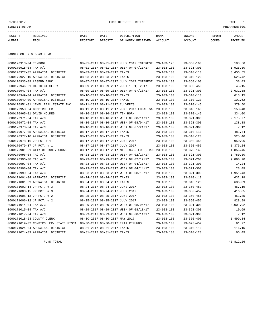## 09/05/2017 FUND DEPOSIT LISTING PAGE 1

| RECEIPT | RECEIVED | DATE     | DATE    | DESCRIPTION       | <b>BANK</b> | <b>TNCOME</b> | <b>REPORT</b> | AMOUNT          |
|---------|----------|----------|---------|-------------------|-------------|---------------|---------------|-----------------|
| NUMBER  | FROM     | RECEIVED | DEPOSIT | OF MONEY RECEIVED | ACCOUNT     | ACCOUNT       | CODES         | <b>RECEIVED</b> |
|         |          |          |         |                   |             |               |               |                 |

FANNIN CO. R & B #3 FUND

| =====================================                                      |                                 |                                 |                                                      |                  |                  |          |
|----------------------------------------------------------------------------|---------------------------------|---------------------------------|------------------------------------------------------|------------------|------------------|----------|
| 0000170913-04 TEXPOOL                                                      |                                 |                                 | 08-01-2017 08-01-2017 JULY 2017 INTEREST 23-103-175  |                  | $23 - 360 - 100$ | 188.56   |
| 0000170918-04 TAX A/C                                                      |                                 |                                 | 08-01-2017 08-01-2017 WEEK OF 07/21/17               | $23 - 103 - 100$ | $23 - 321 - 300$ | 1,926.50 |
| 0000170927-05 APPRAISAL DISTRICT                                           | 08-03-2017 08-03-2017 TAXES     |                                 |                                                      | $23 - 103 - 100$ | $23 - 310 - 110$ | 3,456.55 |
| 0000170927-10 APPRAISAL DISTRICT                                           | 08-03-2017 08-03-2017 TAXES     |                                 |                                                      | $23 - 103 - 100$ | $23 - 310 - 120$ | 525.42   |
| 0000170933-09 LEGEND BANK                                                  |                                 |                                 | 08-07-2017 08-07-2017 JULY 2017 INTEREST             | $23 - 103 - 100$ | $23 - 360 - 100$ | 38.43    |
| 0000170946-21 DISTRICT CLERK                                               |                                 |                                 | 08-09-2017 08-09-2017 JULY 1-31, 2017                | $23 - 103 - 100$ | $23 - 350 - 450$ | 45.15    |
| 0000170947-04 TAX A/C                                                      |                                 |                                 | 08-09-2017 08-09-2017 WEEK OF 07/28/17               | $23 - 103 - 100$ | $23 - 321 - 300$ | 2,631.58 |
| 0000170949-04 APPRAISAL DISTRICT                                           | 08-10-2017 08-10-2017 TAXES     |                                 |                                                      | $23 - 103 - 100$ | $23 - 310 - 110$ | 618.15   |
| 0000170949-09 APPRAISAL DISTRICT                                           | 08-10-2017 08-10-2017 TAXES     |                                 |                                                      | $23 - 103 - 100$ | $23 - 310 - 120$ | 101.62   |
| 0000170951-01 JEWEL REAL ESTATE INC.                                       | 08-11-2017 08-11-2017 CULVERTS  |                                 |                                                      | $23 - 103 - 100$ | $23 - 370 - 145$ | 379.50   |
| 0000170953-04 COMPTROLLER                                                  |                                 |                                 | 08-11-2017 08-11-2017 JUNE 2017 LOCAL SAL 23-103-100 |                  | $23 - 318 - 160$ | 6,153.48 |
| 0000170965-01 DAVID HOLMES                                                 |                                 | 08-16-2017 08-16-2017 TIN HORN  |                                                      | $23 - 103 - 100$ | $23 - 370 - 145$ | 334.00   |
| 0000170971-04 TAX A/C                                                      |                                 |                                 | 08-16-2017 08-16-2017 WEEK OF 08/11/17               | $23 - 103 - 100$ | $23 - 321 - 300$ | 2,175.77 |
| 0000170972-04 TAX A/C                                                      |                                 |                                 | 08-16-2017 08-16-2017 WEEK OF 08/04/17               | $23 - 103 - 100$ | $23 - 321 - 300$ | 138.88   |
| 0000170973-04 TAX A/C                                                      |                                 |                                 | 08-16-2017 08-16-2017 WEEK OF 07/21/17               | $23 - 103 - 100$ | $23 - 321 - 300$ | 7.12     |
| 0000170977-05 APPRAISAL DISTRICT                                           | 08-17-2017 08-17-2017 TAXES     |                                 |                                                      | $23 - 103 - 100$ | $23 - 310 - 110$ | 481.44   |
| 0000170977-10 APPRAISAL DISTRICT                                           |                                 | 08-17-2017 08-17-2017 TAXES     |                                                      | $23 - 103 - 100$ | $23 - 310 - 120$ | 525.46   |
| 0000170978-16 JP PCT # 1                                                   | 08-17-2017 08-17-2017 JUNE 2017 |                                 |                                                      | $23 - 103 - 100$ | $23 - 350 - 455$ | 950.96   |
| 0000170979-17 JP PCT. # 1                                                  |                                 | 08-17-2017 08-17-2017 JULY 2017 |                                                      | $23 - 103 - 100$ | $23 - 350 - 455$ | 1,376.24 |
| 0000170981-01 CITY OF HONEY GROVE                                          |                                 |                                 | 08-17-2017 08-17-2017 MILLINGS, FUEL, ROC 23-103-100 |                  | $23 - 370 - 145$ | 1,856.46 |
| 0000170996-04 TAC A/C                                                      |                                 |                                 | 08-23-2017 08-23-2017 WEEK OF 02/17/17               | $23 - 103 - 100$ | $23 - 321 - 300$ | 1,780.50 |
| 0000170996-08 TAC A/C                                                      |                                 |                                 | 08-23-2017 08-23-2017 WEEK OF 02/17/17               | $23 - 103 - 100$ | $23 - 321 - 200$ | 9,860.20 |
| 0000170997-04 TAX A/C                                                      |                                 |                                 | 08-23-2017 08-23-2017 WEEK OF 04/21/17               | $23 - 103 - 100$ | $23 - 321 - 300$ | 14.24    |
| 0000170998-04 TAX A/C                                                      |                                 |                                 | 08-23-2017 08-23-2017 WEEK OF 04/14/17               | $23 - 103 - 100$ | $23 - 321 - 300$ | 28.49    |
| 0000170999-04 TAX A/C                                                      |                                 |                                 | 08-23-2017 08-23-2017 WEEK OF 08/18/17               | $23 - 103 - 100$ | $23 - 321 - 300$ | 1,951.43 |
| 0000171001-04 APPRAISAL DISTRICT                                           | 08-24-2017 08-24-2017 TAXES     |                                 |                                                      | $23 - 103 - 100$ | $23 - 310 - 110$ | 632.18   |
| 0000171001-09 APPRAISAL DISTRICT                                           | 08-24-2017 08-24-2017 TAXES     |                                 |                                                      | $23 - 103 - 100$ | $23 - 310 - 120$ | 686.09   |
| 0000171002-14 JP PCT. # 3                                                  | 08-24-2017 08-24-2017 JUNE 2017 |                                 |                                                      | $23 - 103 - 100$ | $23 - 350 - 457$ | 457.19   |
| 0000171003-15 JP PCT. # 3                                                  | 08-24-2017 08-24-2017 JULY 2017 |                                 |                                                      | $23 - 103 - 100$ | $23 - 350 - 457$ | 416.85   |
| 0000171005-13 JP PCT. # 2                                                  | 08-25-2017 08-25-2017 JUNE 2017 |                                 |                                                      | 23-103-100       | $23 - 350 - 456$ | 451.85   |
| 0000171006-12 JP PCT. # 2                                                  | 08-25-2017 08-25-2017 JULY 2017 |                                 |                                                      | $23 - 103 - 100$ | $23 - 350 - 456$ | 828.99   |
| 0000171014-04 TAX A/C                                                      |                                 |                                 | 08-29-2017 08-29-2017 WEEK OF 08/04/17               | $23 - 103 - 100$ | $23 - 321 - 300$ | 3,001.92 |
| 0000171015-04 TAX A/C                                                      |                                 |                                 | 08-29-2017 08-29-2017 WEEK OF 08/18/17               | $23 - 103 - 100$ | $23 - 321 - 300$ | 10.69    |
| 0000171017-04 TAX A/C                                                      |                                 |                                 | 08-29-2017 08-29-2017 WEEK OF 08/11/17               | $23 - 103 - 100$ | $23 - 321 - 300$ | 7.12     |
| 0000171018-23 COUNTY CLERK                                                 |                                 | 08-30-2017 08-30-2017 MAY 2017  |                                                      | $23 - 103 - 100$ | $23 - 350 - 403$ | 1,499.34 |
| 0000171019-02 COMPTROLLER- STATE FISCAL 08-30-2017 08-30-2017 IFTA REFUNDS |                                 |                                 |                                                      | $23 - 103 - 100$ | $23 - 623 - 457$ | 91.27    |
| 0000171024-04 APPRAISAL DISTRICT                                           | 08-31-2017 08-31-2017 TAXES     |                                 |                                                      | $23 - 103 - 100$ | $23 - 310 - 110$ | 116.15   |
| 0000171024-09 APPRAISAL DISTRICT                                           |                                 | 08-31-2017 08-31-2017 TAXES     |                                                      | $23 - 103 - 100$ | $23 - 310 - 120$ | 66.49    |

FUND TOTAL  $45,812.26$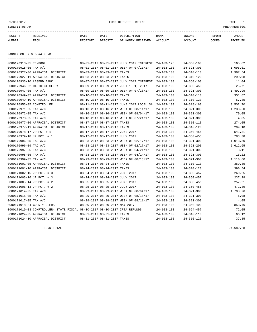## 09/05/2017 FUND DEPOSIT LISTING PAGE 1

| RECEIPT | RECEIVED | DATE            | DATE    | DESCRIPTION       | <b>BANK</b> | <b>INCOME</b> | REPORT | AMOUNT          |
|---------|----------|-----------------|---------|-------------------|-------------|---------------|--------|-----------------|
| NUMBER  | FROM     | <b>RECEIVED</b> | DEPOSIT | OF MONEY RECEIVED | ACCOUNT     | ACCOUNT       | CODES  | <b>RECEIVED</b> |
|         |          |                 |         |                   |             |               |        |                 |

FANNIN CO. R & B #4 FUND

===================================

| 0000170913-05 TEXPOOL      |                                                                            |                                 | 08-01-2017 08-01-2017 JULY 2017 INTEREST             | 24-103-175       | $24 - 360 - 100$ | 165.82   |
|----------------------------|----------------------------------------------------------------------------|---------------------------------|------------------------------------------------------|------------------|------------------|----------|
| 0000170918-05 TAX A/C      |                                                                            |                                 | 08-01-2017 08-01-2017 WEEK OF 07/21/17               | $24 - 103 - 100$ | $24 - 321 - 300$ | 1,096.61 |
|                            | 0000170927-06 APPRAISAL DISTRICT                                           | 08-03-2017 08-03-2017 TAXES     |                                                      | $24 - 103 - 100$ | $24 - 310 - 110$ | 1,967.54 |
|                            | 0000170927-11 APPRAISAL DISTRICT                                           | 08-03-2017 08-03-2017 TAXES     |                                                      | $24 - 103 - 100$ | $24 - 310 - 120$ | 299.08   |
| 0000170933-10 LEGEND BANK  |                                                                            |                                 | 08-07-2017 08-07-2017 JULY 2017 INTEREST             | 24-103-100       | $24 - 360 - 100$ | 11.04    |
|                            | 0000170946-22 DISTRICT CLERK                                               |                                 | 08-09-2017 08-09-2017 JULY 1-31, 2017                | $24 - 103 - 100$ | $24 - 350 - 450$ | 25.71    |
| 0000170947-05 TAX A/C      |                                                                            |                                 | 08-09-2017 08-09-2017 WEEK OF 07/28/17               | $24 - 103 - 100$ | $24 - 321 - 300$ | 1,497.95 |
|                            | 0000170949-05 APPRAISAL DISTRICT                                           | 08-10-2017 08-10-2017 TAXES     |                                                      | $24 - 103 - 100$ | $24 - 310 - 110$ | 351.87   |
|                            | 0000170949-10 APPRAISAL DISTRICT                                           | 08-10-2017 08-10-2017 TAXES     |                                                      | $24 - 103 - 100$ | $24 - 310 - 120$ | 57.85    |
| 0000170953-05 COMPTROLLER  |                                                                            |                                 | 08-11-2017 08-11-2017 JUNE 2017 LOCAL SAL 24-103-100 |                  | $24 - 318 - 160$ | 3,502.70 |
| 0000170971-05 TAX A/C      |                                                                            |                                 | 08-16-2017 08-16-2017 WEEK OF 08/11/17               | $24 - 103 - 100$ | $24 - 321 - 300$ | 1,238.50 |
| 0000170972-05 TAX A/C      |                                                                            |                                 | 08-16-2017 08-16-2017 WEEK OF 08/04/17               | $24 - 103 - 100$ | $24 - 321 - 300$ | 79.05    |
| 0000170973-05 TAX A/C      |                                                                            |                                 | 08-16-2017 08-16-2017 WEEK OF 07/21/17               | $24 - 103 - 100$ | $24 - 321 - 300$ | 4.05     |
|                            | 0000170977-06 APPRAISAL DISTRICT                                           | 08-17-2017 08-17-2017 TAXES     |                                                      | $24 - 103 - 100$ | $24 - 310 - 110$ | 274.05   |
|                            | 0000170977-11 APPRAISAL DISTRICT                                           | 08-17-2017 08-17-2017 TAXES     |                                                      | $24 - 103 - 100$ | $24 - 310 - 120$ | 299.10   |
| 0000170978-17 JP PCT # 1   |                                                                            | 08-17-2017 08-17-2017 JUNE 2017 |                                                      | $24 - 103 - 100$ | $24 - 350 - 455$ | 541.31   |
| 0000170979-18 JP PCT. # 1  |                                                                            | 08-17-2017 08-17-2017 JULY 2017 |                                                      | $24 - 103 - 100$ | $24 - 350 - 455$ | 783.38   |
| 0000170996-05 TAC A/C      |                                                                            |                                 | 08-23-2017 08-23-2017 WEEK OF 02/17/17               | $24 - 103 - 100$ | $24 - 321 - 300$ | 1,013.50 |
| 0000170996-09 TAC A/C      |                                                                            |                                 | 08-23-2017 08-23-2017 WEEK OF 02/17/17               | $24 - 103 - 100$ | $24 - 321 - 200$ | 5,612.65 |
| 0000170997-05 TAX A/C      |                                                                            |                                 | 08-23-2017 08-23-2017 WEEK OF 04/21/17               | $24 - 103 - 100$ | $24 - 321 - 300$ | 8.11     |
| 0000170998-05 TAX A/C      |                                                                            |                                 | 08-23-2017 08-23-2017 WEEK OF 04/14/17               | $24 - 103 - 100$ | $24 - 321 - 300$ | 16.22    |
| 0000170999-05 TAX A/C      |                                                                            |                                 | 08-23-2017 08-23-2017 WEEK OF 08/18/17               | $24 - 103 - 100$ | $24 - 321 - 300$ | 1,110.80 |
|                            | 0000171001-05 APPRAISAL DISTRICT                                           | 08-24-2017 08-24-2017 TAXES     |                                                      | $24 - 103 - 100$ | $24 - 310 - 110$ | 359.85   |
|                            | 0000171001-10 APPRAISAL DISTRICT                                           | 08-24-2017 08-24-2017 TAXES     |                                                      | $24 - 103 - 100$ | $24 - 310 - 120$ | 390.54   |
| 0000171002-15 JP PCT. # 3  |                                                                            | 08-24-2017 08-24-2017 JUNE 2017 |                                                      | $24 - 103 - 100$ | $24 - 350 - 457$ | 260.25   |
| 0000171003-16 JP PCT. # 3  |                                                                            | 08-24-2017 08-24-2017 JULY 2017 |                                                      | $24 - 103 - 100$ | $24 - 350 - 457$ | 237.28   |
| 0000171005-14 JP PCT. # 2  |                                                                            | 08-25-2017 08-25-2017 JUNE 2017 |                                                      | $24 - 103 - 100$ | $24 - 350 - 456$ | 257.21   |
| 0000171006-13 JP PCT. # 2  |                                                                            | 08-25-2017 08-25-2017 JULY 2017 |                                                      | $24 - 103 - 100$ | $24 - 350 - 456$ | 471.89   |
| 0000171014-05 TAX A/C      |                                                                            |                                 | 08-29-2017 08-29-2017 WEEK OF 08/04/17               | $24 - 103 - 100$ | $24 - 321 - 300$ | 1,708.76 |
| 0000171015-05 TAX A/C      |                                                                            |                                 | 08-29-2017 08-29-2017 WEEK OF 08/18/17               | 24-103-100       | $24 - 321 - 300$ | 6.08     |
| 0000171017-05 TAX A/C      |                                                                            |                                 | 08-29-2017 08-29-2017 WEEK OF 08/11/17               | $24 - 103 - 100$ | $24 - 321 - 300$ | 4.05     |
| 0000171018-24 COUNTY CLERK |                                                                            | 08-30-2017 08-30-2017 MAY 2017  |                                                      | $24 - 103 - 100$ | $24 - 350 - 403$ | 853.46   |
|                            | 0000171019-03 COMPTROLLER- STATE FISCAL 08-30-2017 08-30-2017 IFTA REFUNDS |                                 |                                                      | $24 - 103 - 100$ | $24 - 624 - 457$ | 72.05    |
|                            | 0000171024-05 APPRAISAL DISTRICT                                           | 08-31-2017 08-31-2017 TAXES     |                                                      | $24 - 103 - 100$ | $24 - 310 - 110$ | 66.12    |
|                            | 0000171024-10 APPRAISAL DISTRICT                                           | 08-31-2017 08-31-2017 TAXES     |                                                      | $24 - 103 - 100$ | $24 - 310 - 120$ | 37.85    |

FUND TOTAL 24,682.28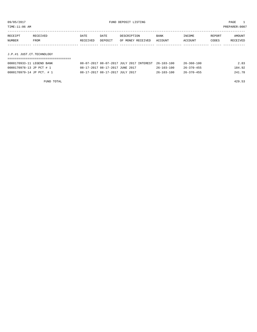| TIME:11:06 AM             |                           |          |         |                                          |                  |                  |        | PREPARER:0007 |
|---------------------------|---------------------------|----------|---------|------------------------------------------|------------------|------------------|--------|---------------|
| RECEIPT                   | RECEIVED                  | DATE     | DATE    | DESCRIPTION                              | <b>BANK</b>      | INCOME           | REPORT | AMOUNT        |
| NUMBER                    | FROM                      | RECEIVED | DEPOSIT | OF MONEY RECEIVED                        | ACCOUNT          | ACCOUNT          | CODES  | RECEIVED      |
|                           |                           |          |         |                                          |                  |                  |        |               |
| J.P.#1 JUST.CT.TECHNOLOGY |                           |          |         |                                          |                  |                  |        |               |
|                           |                           |          |         |                                          |                  |                  |        |               |
|                           | 0000170933-11 LEGEND BANK |          |         | 08-07-2017 08-07-2017 JULY 2017 INTEREST | $26 - 103 - 100$ | $26 - 360 - 100$ |        | 2.83          |

| 0000170979-14 JP PCT. # 1<br>08-17-2017 08-17-2017 JULY 2017<br>$26 - 370 - 455$<br>$26 - 103 - 100$ | 0000170978-13 JP PCT # 1 | 08-17-2017 08-17-2017 JUNE 2017 | $26 - 103 - 100$ | $26 - 370 - 455$ | 184.92 |
|------------------------------------------------------------------------------------------------------|--------------------------|---------------------------------|------------------|------------------|--------|
|                                                                                                      |                          |                                 |                  |                  | 241.78 |

FUND TOTAL 429.53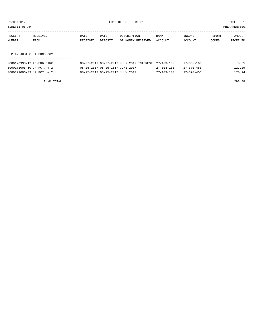TIME:11:06 AM PREPARER:0007

| RECEIPT | RECEIVED                  | DATE     | DATE    | DESCRIPTION       | <b>BANK</b> | INCOME  | REPORT | AMOUNT   |  |
|---------|---------------------------|----------|---------|-------------------|-------------|---------|--------|----------|--|
| NUMBER  | FROM                      | RECEIVED | DEPOSIT | OF MONEY RECEIVED | ACCOUNT     | ACCOUNT | CODES  | RECEIVED |  |
|         |                           |          |         |                   |             |         |        |          |  |
|         |                           |          |         |                   |             |         |        |          |  |
|         | J.P.#2 JUST.CT.TECHNOLOGY |          |         |                   |             |         |        |          |  |
|         |                           |          |         |                   |             |         |        |          |  |

| 0000170933-12 LEGEND BANK | 08-07-2017 08-07-2017 JULY 2017 INTEREST 27-103-100 |                  | $27 - 360 - 100$ | 0.65   |
|---------------------------|-----------------------------------------------------|------------------|------------------|--------|
| 0000171005-10 JP PCT. # 2 | 08-25-2017 08-25-2017 JUNE 2017                     | 27-103-100       | 27–370–456       | 127.29 |
| 0000171006-09 JP PCT. # 2 | 08-25-2017 08-25-2017 JULY 2017                     | $27 - 103 - 100$ | $27 - 370 - 456$ | 170.94 |

FUND TOTAL 298.88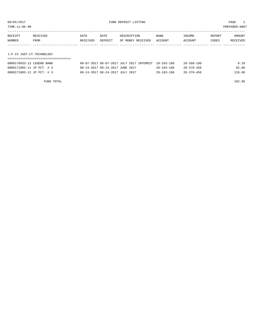TIME:11:06 AM PREPARER:0007

| RECEIPT | RECEIVED                  | DATE     | DATE    | DESCRIPTION       | <b>BANK</b> | INCOME  | REPORT | AMOUNT   |  |
|---------|---------------------------|----------|---------|-------------------|-------------|---------|--------|----------|--|
| NUMBER  | FROM                      | RECEIVED | DEPOSIT | OF MONEY RECEIVED | ACCOUNT     | ACCOUNT | CODES  | RECEIVED |  |
|         |                           |          |         |                   |             |         |        |          |  |
|         |                           |          |         |                   |             |         |        |          |  |
|         | J.P.#3 JUST.CT.TECHNOLOGY |          |         |                   |             |         |        |          |  |
|         |                           |          |         |                   |             |         |        |          |  |

| 0000170933-13 LEGEND BANK | 08-07-2017 08-07-2017 JULY 2017 INTEREST 28-103-100 |                  | $28 - 360 - 100$ | 0.29   |
|---------------------------|-----------------------------------------------------|------------------|------------------|--------|
| 0000171002-11 JP PCT. # 3 | 08-24-2017 08-24-2017 JUNE 2017                     | $28 - 103 - 100$ | 28-370-456       | 82.06  |
| 0000171003-12 JP PCT. # 3 | 08-24-2017 08-24-2017 JULY 2017                     | $28 - 103 - 100$ | $28 - 370 - 456$ | 110.60 |

FUND TOTAL 192.95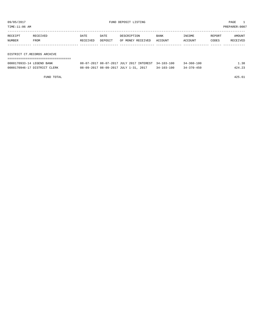TIME:11:06 AM PREPARER:0007

| RECEIPT | RECEIVED    | DATE     | DATE    | DESCRIPTION       | <b>BANK</b> | INCOME  | REPORT | AMOUNT   |
|---------|-------------|----------|---------|-------------------|-------------|---------|--------|----------|
| NUMBER  | <b>FROM</b> | RECEIVED | DEPOSIT | OF MONEY RECEIVED | ACCOUNT     | ACCOUNT | CODES  | RECEIVED |
|         |             |          |         |                   |             |         |        |          |
|         |             |          |         |                   |             |         |        |          |

DISTRICT CT.RECORDS ARCHIVE

| --------------------------   |                                                     |                  |                  |        |
|------------------------------|-----------------------------------------------------|------------------|------------------|--------|
| 0000170933-14 LEGEND BANK    | 08-07-2017 08-07-2017 JULY 2017 INTEREST 34-103-100 |                  | $34 - 360 - 100$ | 1.38   |
| 0000170946-17 DISTRICT CLERK | 08-09-2017 08-09-2017 JULY 1-31, 2017               | $34 - 103 - 100$ | $34 - 370 - 450$ | 424.23 |

FUND TOTAL 425.61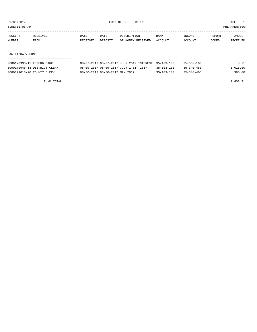TIME:11:06 AM PREPARER:0007

| RECEIPT | RECEIVED | DATE     | DATE    | DESCRIPTION       | <b>BANK</b> | INCOME         | REPORT | AMOUNT          |
|---------|----------|----------|---------|-------------------|-------------|----------------|--------|-----------------|
| NUMBER  | FROM     | RECEIVED | DEPOSIT | OF MONEY RECEIVED | ACCOUNT     | <b>ACCOUNT</b> | CODES  | <b>RECEIVED</b> |
|         |          |          |         |                   |             |                |        |                 |

#### LAW LIBRARY FUND

| 0000170933-15 LEGEND BANK    | 08-07-2017 08-07-2017 JULY 2017 INTEREST 35-103-100 |                  | $35 - 360 - 100$ | 8.71     |
|------------------------------|-----------------------------------------------------|------------------|------------------|----------|
| 0000170946-18 DISTRICT CLERK | 08-09-2017 08-09-2017 JULY 1-31, 2017               | $35 - 103 - 100$ | $35 - 340 - 450$ | 1,015.00 |
| 0000171018-20 COUNTY CLERK   | 08-30-2017 08-30-2017 MAY 2017                      | $35 - 103 - 100$ | $35 - 340 - 403$ | 385.00   |

FUND TOTAL  $1,408.71$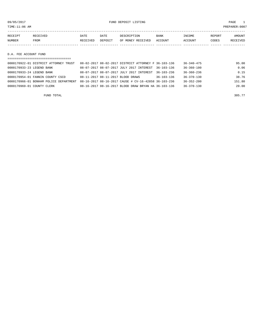09/05/2017 FUND DEPOSIT LISTING PAGE 1

| RECEIPT       | RECEIVED | DATE     | DATE    | DESCRIPTION       | BANK    | INCOME  | REPORT | AMOUNT   |
|---------------|----------|----------|---------|-------------------|---------|---------|--------|----------|
| <b>NUMBER</b> | FROM     | RECEIVED | DEPOSIT | OF MONEY RECEIVED | ACCOUNT | ACCOUNT | CODES  | RECEIVED |
|               |          |          |         |                   |         |         |        |          |
|               |          |          |         |                   |         |         |        |          |

### D.A. FEE ACCOUNT FUND

| ===================================    |                                                      |                  |                  |        |
|----------------------------------------|------------------------------------------------------|------------------|------------------|--------|
| 0000170922-01 DISTRICT ATTORNEY TRUST  | 08-02-2017 08-02-2017 DISTRICT ATTORNEY F 36-103-136 |                  | $36 - 340 - 475$ | 95.00  |
| 0000170933-23 LEGEND BANK              | 08-07-2017 08-07-2017 JULY 2017 INTEREST 36-103-136  |                  | $36 - 360 - 100$ | 0.06   |
| 0000170933-24 LEGEND BANK              | 08-07-2017 08-07-2017 JULY 2017 INTEREST             | $36 - 103 - 236$ | $36 - 360 - 236$ | 0.15   |
| 0000170954-01 FANNIN COUNTY CSCD       | 08-11-2017 08-11-2017 BLOOD DRAWS                    | $36 - 103 - 136$ | $36 - 370 - 130$ | 38.76  |
| 0000170966-01 BONHAM POLICE DEPARTMENT | 08-16-2017 08-16-2017 CAUSE # CV-16-42858 36-103-236 |                  | $36 - 352 - 200$ | 151.80 |
| 0000170969-01 COUNTY CLERK             | 08-16-2017 08-16-2017 BLOOD DRAW BRYAN HA 36-103-136 |                  | $36 - 370 - 130$ | 20.00  |
|                                        |                                                      |                  |                  |        |

FUND TOTAL  $305.77$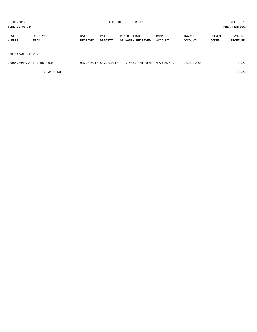TIME:11:06 AM PREPARER:0007

| RECEIPT | RECEIVED | DATE     | DATE    | DESCRIPTION       | BANK    | INCOME  | REPORT | AMOUNT   |
|---------|----------|----------|---------|-------------------|---------|---------|--------|----------|
| NUMBER  | FROM     | RECEIVED | DEPOSIT | OF MONEY RECEIVED | ACCOUNT | ACCOUNT | CODES  | RECEIVED |
|         |          |          |         |                   |         |         |        |          |

#### CONTRABAND SEIZURE

===================================

| 0000170933-25 LEGEND BANK |  |  | 08-07-2017 08-07-2017 JULY 2017 INTEREST 37-103-137 | $37 - 360 - 100$ |  |
|---------------------------|--|--|-----------------------------------------------------|------------------|--|
|                           |  |  |                                                     |                  |  |

FUND TOTAL 0.05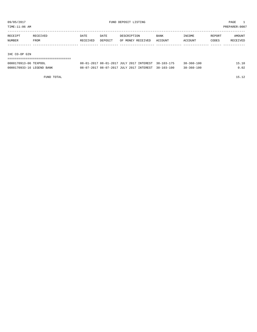TIME:11:06 AM PREPARER:0007

| RECEIPT | RECEIVED | DATE     | DATE    | DESCRIPTION       | <b>BANK</b> | INCOME  | REPORT | AMOUNT   |
|---------|----------|----------|---------|-------------------|-------------|---------|--------|----------|
| NUMBER  | FROM     | RECEIVED | DEPOSIT | OF MONEY RECEIVED | ACCOUNT     | ACCOUNT | CODES  | RECEIVED |
|         |          |          |         |                   |             |         |        |          |
|         |          |          |         |                   |             |         |        |          |

#### IHC CO-OP GIN

| ------------------------------------ |  |  |                                                     |                  |       |
|--------------------------------------|--|--|-----------------------------------------------------|------------------|-------|
| 0000170913-06 TEXPOOL                |  |  | 08-01-2017 08-01-2017 JULY 2017 INTEREST 38-103-175 | $38 - 360 - 100$ | 15.10 |
| 0000170933-16 LEGEND BANK            |  |  | 08-07-2017 08-07-2017 JULY 2017 INTEREST 38-103-100 | $38 - 360 - 100$ | 0.02  |

FUND TOTAL 15.12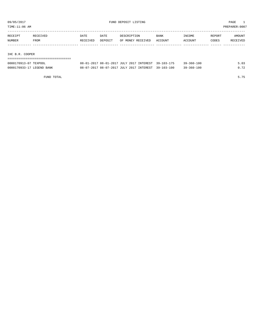TIME:11:06 AM PREPARER:0007

| RECEIPT | RECEIVED | DATE     | DATE    | DESCRIPTION       | <b>BANK</b> | INCOME         | REPORT | AMOUNT   |
|---------|----------|----------|---------|-------------------|-------------|----------------|--------|----------|
| NUMBER  | FROM     | RECEIVED | DEPOSIT | OF MONEY RECEIVED | ACCOUNT     | <b>ACCOUNT</b> | CODES  | RECEIVED |
|         |          |          |         |                   |             |                |        |          |
|         |          |          |         |                   |             |                |        |          |

#### IHC B.R. COOPER

| ================================= |                                                     |                  |      |
|-----------------------------------|-----------------------------------------------------|------------------|------|
| 0000170913-07 TEXPOOL             | 08-01-2017 08-01-2017 JULY 2017 INTEREST 39-103-175 | 39-360-100       | 5.03 |
| 0000170933-17 LEGEND BANK         | 08-07-2017 08-07-2017 JULY 2017 INTEREST 39-103-100 | $39 - 360 - 100$ | 0.72 |

FUND TOTAL 5.75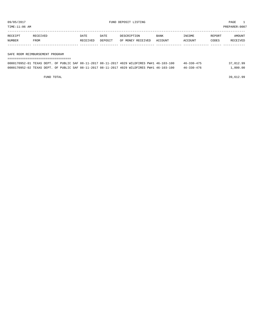TIME:11:06 AM PREPARER:0007

| RECEIPT       | <b>RECEIVED</b> | DATE     | DATE    | DESCRIPTION       | <b>BANK</b> | <b>TNCOME</b> | REPORT | AMOUNT          |
|---------------|-----------------|----------|---------|-------------------|-------------|---------------|--------|-----------------|
| <b>NUMBER</b> | FROM            | RECEIVED | DEPOSIT | OF MONEY RECEIVED | ACCOUNT     | ACCOUNT       | CODES  | <b>RECEIVED</b> |
|               |                 |          |         |                   |             |               |        |                 |

#### SAFE ROOM REIMBURSEMENT PROGRAM

| 0000170952-01 TEXAS DEPT. OF PUBLIC SAF 08-11-2017 08-11-2017 4029 WILDFIRES PW#1 46-103-100 |  |  |  |  |  | $46 - 330 - 475$ | 37,812.99 |
|----------------------------------------------------------------------------------------------|--|--|--|--|--|------------------|-----------|
| 0000170952-02 TEXAS DEPT. OF PUBLIC SAF 08-11-2017 08-11-2017 4029 WILDFIRES PW#1 46-103-100 |  |  |  |  |  | $46 - 330 - 476$ | 1,800.00  |

FUND TOTAL 39,612.99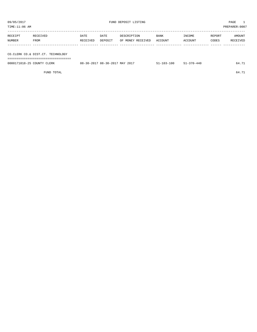TIME:11:06 AM PREPARER:0007 ----------------------------------------------------------------------------------------------------------------------------------- RECEIPT RECEIVED DATE DATE DESCRIPTION BANK INCOME REPORT AMOUNT NUMBER FROM RECEIVED DEPOSIT OF MONEY RECEIVED ACCOUNT ACCOUNT CODES RECEIVED

------------- ------------------------- ---------- ---------- ------------------- -------------- -------------- ------ ------------ CO.CLERK CO.& DIST.CT. TECHNOLOGY =================================== 0000171018-25 COUNTY CLERK 08-30-2017 08-30-2017 MAY 2017 51-103-100 51-370-440 64.71

FUND TOTAL 64.71

| $\sim$ 11<br>___ |   |
|------------------|---|
|                  | - |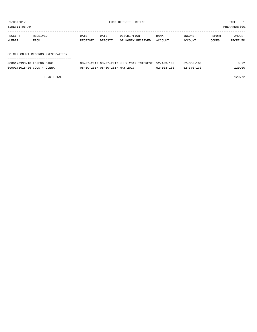TIME:11:06 AM PREPARER:0007

----------------------------------------------------------------------------------------------------------------------------------- RECEIPT RECEIVED DATE DATE DESCRIPTION BANK INCOME REPORT AMOUNT NUMBER FROM RECEIVED DEPOSIT OF MONEY RECEIVED ACCOUNT ACCOUNT CODES RECEIVED ------------- ------------------------- ---------- ---------- ------------------- -------------- -------------- ------ ------------ CO.CLK.COURT RECORDS PRESERVATION

===================================

| 0000170933-18 LEGEND BANK  | 08-07-2017 08-07-2017 JULY 2017 INTEREST 52-103-100 |                  | 52-360-100 | 0.72   |
|----------------------------|-----------------------------------------------------|------------------|------------|--------|
| 0000171018-26 COUNTY CLERK | 08-30-2017 08-30-2017 MAY 2017                      | $52 - 103 - 100$ | 52-370-133 | 120.00 |

FUND TOTAL 120.72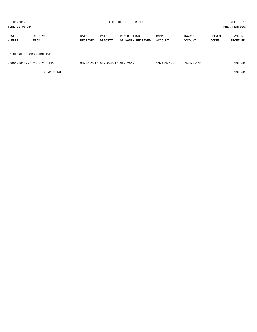| 09/05/2017<br>TIME:11:06 AM |                          |                  |                 | FUND DEPOSIT LISTING             | PAGE<br>PREPARER: 0007 |                   |                 |                    |
|-----------------------------|--------------------------|------------------|-----------------|----------------------------------|------------------------|-------------------|-----------------|--------------------|
| RECEIPT<br>NUMBER           | RECEIVED<br>FROM         | DATE<br>RECEIVED | DATE<br>DEPOSIT | DESCRIPTION<br>OF MONEY RECEIVED | BANK<br>ACCOUNT        | INCOME<br>ACCOUNT | REPORT<br>CODES | AMOUNT<br>RECEIVED |
|                             | CO.CLERK RECORDS ARCHIVE |                  |                 |                                  |                        |                   |                 |                    |

| 0000171018-27 COUNTY CLERK | 08-30-2017 08-30-2017 MAY 2017 | $53 - 103 - 100$ | $53 - 370 - 133$ | 100.00 |
|----------------------------|--------------------------------|------------------|------------------|--------|
|                            |                                |                  |                  |        |

FUND TOTAL 8,100.00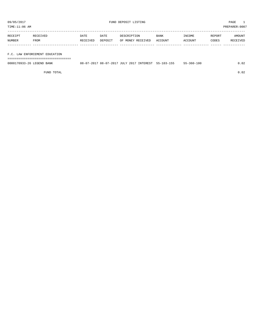TIME:11:06 AM PREPARER:0007

| DATE<br>DATE        | <b>BANK</b>                      | INCOME  |         | AMOUNT   |
|---------------------|----------------------------------|---------|---------|----------|
| DEPOSIT<br>RECEIVED |                                  |         | CODES   | RECEIVED |
|                     |                                  |         |         |          |
|                     | DESCRIPTION<br>OF MONEY RECEIVED | ACCOUNT | ACCOUNT | REPORT   |

### F.C. LAW ENFORCEMENT EDUCATION

===================================

| 0000170933-26 LEGEND BANK |  |  | 08-07-2017 08-07-2017 JULY 2017 INTEREST 55-103-155 | $55 - 360 - 100$ | .02 |
|---------------------------|--|--|-----------------------------------------------------|------------------|-----|
|                           |  |  |                                                     |                  |     |

FUND TOTAL 0.02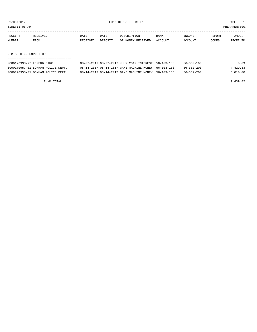TIME:11:06 AM PREPARER:0007

| RECEIPT | <b>RECEIVED</b> | DATE     | DATE    | DESCRIPTION       | <b>BANK</b> | <b>INCOME</b> | REPORT | AMOUNT          |
|---------|-----------------|----------|---------|-------------------|-------------|---------------|--------|-----------------|
| NUMBER  | <b>FROM</b>     | RECEIVED | DEPOSIT | OF MONEY RECEIVED | ACCOUNT     | ACCOUNT       | CODES  | <b>RECEIVED</b> |
|         |                 |          |         |                   |             |               |        |                 |

### F C SHERIFF FORFEITURE

| 0000170933-27 LEGEND BANK         | 08-07-2017 08-07-2017 JULY 2017 INTEREST 56-103-156 |  | 56-360-100       | 0.09     |
|-----------------------------------|-----------------------------------------------------|--|------------------|----------|
| 0000170957-01 BONHAM POLICE DEPT. | 08-14-2017 08-14-2017 GAME MACHINE MONEY 56-103-156 |  | $56 - 352 - 200$ | 4,429.33 |
| 0000170958-01 BONHAM POLICE DEPT. | 08-14-2017 08-14-2017 GAME MACHINE MONEY 56-103-156 |  | $56 - 352 - 200$ | 5.010.00 |

FUND TOTAL 9,439.42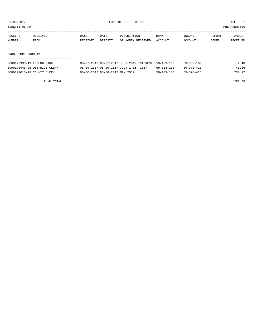TIME:11:06 AM PREPARER:0007

| RECEIPT | <b>RECEIVED</b> | DATE     | DATE    | DESCRIPTION       | <b>BANK</b> | TNCOME. | <b>REPORT</b> | AMOUNT          |
|---------|-----------------|----------|---------|-------------------|-------------|---------|---------------|-----------------|
| NUMBER  | FROM            | RECEIVED | DEPOSIT | OF MONEY RECEIVED | ACCOUNT     | ACCOUNT | CODES         | <b>RECEIVED</b> |
|         |                 |          |         |                   |             |         |               |                 |

DRUG COURT PROGRAM

## =================================== 0000170933-19 LEGEND BANK 08-07-2017 08-07-2017 JULY 2017 INTEREST 59-103-100 59-360-100 2.10 0000170946-25 DISTRICT CLERK 08-09-2017 08-09-2017 JULY 1-31, 2017 59-103-100 59-370-425 45.66 0000171018-28 COUNTY CLERK 08-30-2017 08-30-2017 MAY 2017 59-103-100 59-370-425 235.92

FUND TOTAL 283.68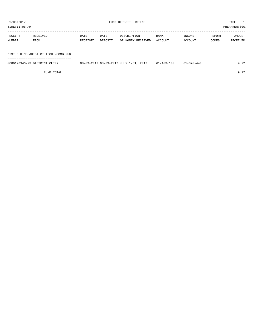| TIME:11:06 AM |                                     |          |         |                   |         |         |        | PREPARER:0007 |
|---------------|-------------------------------------|----------|---------|-------------------|---------|---------|--------|---------------|
|               |                                     |          |         |                   |         |         |        |               |
| RECEIPT       | RECEIVED                            | DATE     | DATE    | DESCRIPTION       | BANK    | INCOME  | REPORT | AMOUNT        |
| NUMBER        | FROM                                | RECEIVED | DEPOSIT | OF MONEY RECEIVED | ACCOUNT | ACCOUNT | CODES  | RECEIVED      |
|               |                                     |          |         |                   |         |         |        |               |
|               |                                     |          |         |                   |         |         |        |               |
|               | DIST.CLK.CO.&DIST.CT.TECH.-COMB.FUN |          |         |                   |         |         |        |               |
|               |                                     |          |         |                   |         |         |        |               |

| 0000170946-23 DISTRICT CLERK | 08-09-2017 08-09-2017 JULY 1-31, 2017 | $61 - 103 - 100$ | -370-440- | $\sim$ $\sim$<br>. 44 |
|------------------------------|---------------------------------------|------------------|-----------|-----------------------|
|                              |                                       |                  |           |                       |

FUND TOTAL 9.22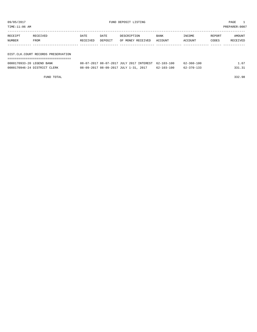TIME:11:06 AM PREPARER:0007

| RECEIPT | RECEIVED                              | DATE     | DATE    | DESCRIPTION       | <b>BANK</b> | INCOME  | REPORT | AMOUNT   |
|---------|---------------------------------------|----------|---------|-------------------|-------------|---------|--------|----------|
| NUMBER  | FROM                                  | RECEIVED | DEPOSIT | OF MONEY RECEIVED | ACCOUNT     | ACCOUNT | CODES  | RECEIVED |
|         |                                       |          |         |                   |             |         |        |          |
|         |                                       |          |         |                   |             |         |        |          |
|         | DIST. CLK. COURT RECORDS PRESERVATION |          |         |                   |             |         |        |          |
|         |                                       |          |         |                   |             |         |        |          |

| 0000170933-20 LEGEND BANK    | 08-07-2017 08-07-2017 JULY 2017 INTEREST 62-103-100 |                  | $62 - 360 - 100$ | 1.67   |
|------------------------------|-----------------------------------------------------|------------------|------------------|--------|
| 0000170946-24 DISTRICT CLERK | 08-09-2017 08-09-2017 JULY 1-31, 2017               | $62 - 103 - 100$ | $62 - 370 - 133$ | 331.31 |

FUND TOTAL 332.98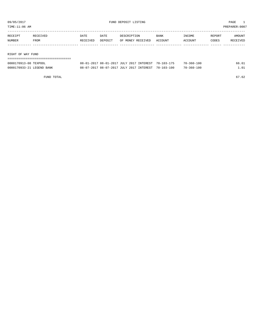TIME:11:06 AM PREPARER:0007

| RECEIPT | RECEIVED | DATE     | DATE    | DESCRIPTION       | BANK    | INCOME  | REPORT | AMOUNT   |
|---------|----------|----------|---------|-------------------|---------|---------|--------|----------|
| NUMBER  | FROM     | RECEIVED | DEPOSIT | OF MONEY RECEIVED | ACCOUNT | ACCOUNT | CODES  | RECEIVED |
|         |          |          |         |                   |         |         |        |          |
|         |          |          |         |                   |         |         |        |          |
|         |          |          |         |                   |         |         |        |          |

RIGHT OF WAY FUND

| 0000170913-08 TEXPOOL     | 08-01-2017 08-01-2017 JULY 2017 INTEREST 70-103-175 |  | $70 - 360 - 100$ | 66.61 |
|---------------------------|-----------------------------------------------------|--|------------------|-------|
| 0000170933-21 LEGEND BANK | 08-07-2017 08-07-2017 JULY 2017 INTEREST 70-103-100 |  | $70 - 360 - 100$ | 1 ∩1  |

FUND TOTAL 67.62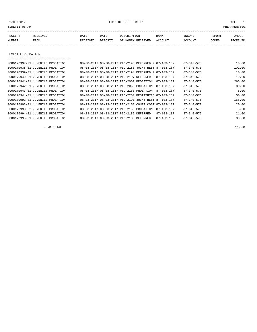09/05/2017 FUND DEPOSIT LISTING PAGE 1

| RECEIPT | RECEIVED | DATE     | DATE    | DESCRIPTION       | <b>BANK</b> | INCOME  | <b>REPORT</b> | AMOUNT          |
|---------|----------|----------|---------|-------------------|-------------|---------|---------------|-----------------|
| NUMBER  | FROM     | RECEIVED | DEPOSIT | OF MONEY RECEIVED | ACCOUNT     | ACCOUNT | CODES         | <b>RECEIVED</b> |
|         |          |          |         |                   |             |         |               |                 |

JUVENILE PROBATION

| _________________________________ |                                          |                                                      |                  |                  |        |
|-----------------------------------|------------------------------------------|------------------------------------------------------|------------------|------------------|--------|
| 0000170937-01 JUVENILE PROBATION  |                                          | 08-08-2017 08-08-2017 PID-2195 DEFERRED P 87-103-187 |                  | $87 - 340 - 575$ | 10.00  |
| 0000170938-01 JUVENILE PROBATION  |                                          | 08-08-2017 08-08-2017 PID-2188 JOINT REST 87-103-187 |                  | $87 - 340 - 576$ | 101.00 |
| 0000170939-01 JUVENILE PROBATION  |                                          | 08-08-2017 08-08-2017 PID-2194 DEFERRED P 87-103-187 |                  | $87 - 340 - 575$ | 10.00  |
| 0000170940-01 JUVENILE PROBATION  |                                          | 08-08-2017 08-08-2017 PID-2197 DEFERRED P 87-103-187 |                  | $87 - 340 - 575$ | 10.00  |
| 0000170941-01 JUVENILE PROBATION  | 08-08-2017 08-08-2017 PID-2000 PROBATION |                                                      | 87-103-187       | $87 - 340 - 575$ | 265.00 |
| 0000170942-01 JUVENILE PROBATION  | 08-08-2017 08-08-2017 PID-2065 PROBATION |                                                      | $87 - 103 - 187$ | $87 - 340 - 575$ | 80.00  |
| 0000170943-01 JUVENILE PROBATION  | 08-08-2017 08-08-2017 PID-2168 PROBATION |                                                      | $87 - 103 - 187$ | $87 - 340 - 575$ | 5.00   |
| 0000170944-01 JUVENILE PROBATION  |                                          | 08-08-2017 08-08-2017 PID-2200 RESTITUTIO 87-103-187 |                  | $87 - 340 - 576$ | 50.00  |
| 0000170992-01 JUVENILE PROBATION  |                                          | 08-23-2017 08-23-2017 PID-2191 JOINT REST 87-103-187 |                  | $87 - 340 - 576$ | 168.00 |
| 0000170993-01 JUVENILE PROBATION  |                                          | 08-23-2017 08-23-2017 PID-2158 COURT COST 87-103-187 |                  | $87 - 340 - 577$ | 20.00  |
| 0000170993-02 JUVENILE PROBATION  | 08-23-2017 08-23-2017 PID-2158 PROBATION |                                                      | $87 - 103 - 187$ | $87 - 340 - 575$ | 5.00   |
| 0000170994-01 JUVENILE PROBATION  | 08-23-2017 08-23-2017 PID-2189 DEFERRED  |                                                      | $87 - 103 - 187$ | $87 - 340 - 575$ | 21.00  |
| 0000170995-01 JUVENILE PROBATION  | 08-23-2017 08-23-2017 PID-2188 DEFERRED  |                                                      | $87 - 103 - 187$ | $87 - 340 - 575$ | 30.00  |

FUND TOTAL 775.00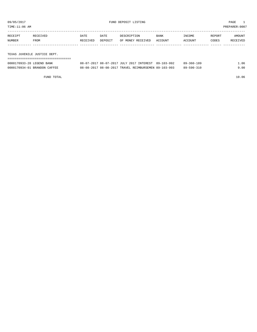TIME:11:06 AM PREPARER:0007

| RECEIPT | RECEIVED    | DATE     | DATE    | DESCRIPTION       | <b>BANK</b> | INCOME         | REPORT | AMOUNT          |
|---------|-------------|----------|---------|-------------------|-------------|----------------|--------|-----------------|
| NUMBER  | <b>FROM</b> | RECEIVED | DEPOSIT | OF MONEY RECEIVED | ACCOUNT     | <b>ACCOUNT</b> | CODES  | <b>RECEIVED</b> |
|         |             |          |         |                   |             |                |        |                 |

TEXAS JUVENILE JUSTICE DEPT.

| ---------------------------------- |                                                      |            |      |
|------------------------------------|------------------------------------------------------|------------|------|
| 0000170933-28 LEGEND BANK          | 08-07-2017 08-07-2017 JULY 2017 INTEREST 89-103-992  | 89-360-189 | 1.06 |
| 0000170934-01 BRANDON CAFFEE       | 08-08-2017 08-08-2017 TRAVEL REIMBURSEMEN 89-103-993 | 89-590-310 | 9.00 |

FUND TOTAL 10.06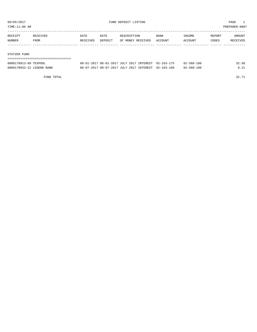TIME:11:06 AM PREPARER:0007

| RECEIPT | RECEIVED | DATE     | DATE    | DESCRIPTION       | <b>BANK</b> | INCOME  | REPORT | AMOUNT   |
|---------|----------|----------|---------|-------------------|-------------|---------|--------|----------|
| NUMBER  | FROM     | RECEIVED | DEPOSIT | OF MONEY RECEIVED | ACCOUNT     | ACCOUNT | CODES  | RECEIVED |
|         |          |          |         |                   |             |         |        |          |

#### STATZER FUND

| 0000170913-09 TEXPOOL     | 08-01-2017 08-01-2017 JULY 2017 INTEREST 92-103-175 | $92 - 360 - 100$ | 32.50 |
|---------------------------|-----------------------------------------------------|------------------|-------|
| 0000170933-22 LEGEND BANK | 08-07-2017 08-07-2017 JULY 2017 INTEREST 92-103-100 | $92 - 360 - 100$ | 0.21  |

FUND TOTAL 32.71